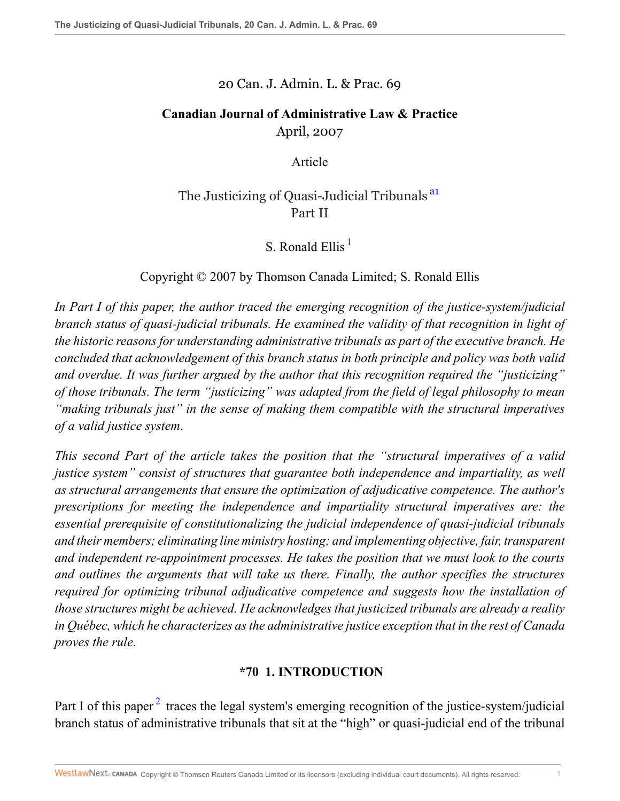#### 20 Can. J. Admin. L. & Prac. 69

### **Canadian Journal of Administrative Law & Practice** April, 2007

<span id="page-0-0"></span>Article

# The Justicizing of Quasi-Judicial Tribunals<sup>[a1](#page-22-0)</sup> Part II

<span id="page-0-1"></span>S. Ronald Ellis  $<sup>1</sup>$  $<sup>1</sup>$  $<sup>1</sup>$ </sup>

Copyright © 2007 by Thomson Canada Limited; S. Ronald Ellis

*In Part I of this paper, the author traced the emerging recognition of the justice-system/judicial branch status of quasi-judicial tribunals. He examined the validity of that recognition in light of the historic reasons for understanding administrative tribunals as part of the executive branch. He concluded that acknowledgement of this branch status in both principle and policy was both valid and overdue. It was further argued by the author that this recognition required the "justicizing" of those tribunals. The term "justicizing" was adapted from the field of legal philosophy to mean "making tribunals just" in the sense of making them compatible with the structural imperatives of a valid justice system*.

*This second Part of the article takes the position that the "structural imperatives of a valid justice system" consist of structures that guarantee both independence and impartiality, as well as structural arrangements that ensure the optimization of adjudicative competence. The author's prescriptions for meeting the independence and impartiality structural imperatives are: the essential prerequisite of constitutionalizing the judicial independence of quasi-judicial tribunals and their members; eliminating line ministry hosting; and implementing objective, fair, transparent and independent re-appointment processes. He takes the position that we must look to the courts and outlines the arguments that will take us there. Finally, the author specifies the structures required for optimizing tribunal adjudicative competence and suggests how the installation of those structures might be achieved. He acknowledges that justicized tribunals are already a reality in Québec, which he characterizes as the administrative justice exception that in the rest of Canada proves the rule*.

# <span id="page-0-2"></span>**\*70 1. INTRODUCTION**

Part I of this paper<sup>[2](#page-22-2)</sup> traces the legal system's emerging recognition of the justice-system/judicial branch status of administrative tribunals that sit at the "high" or quasi-judicial end of the tribunal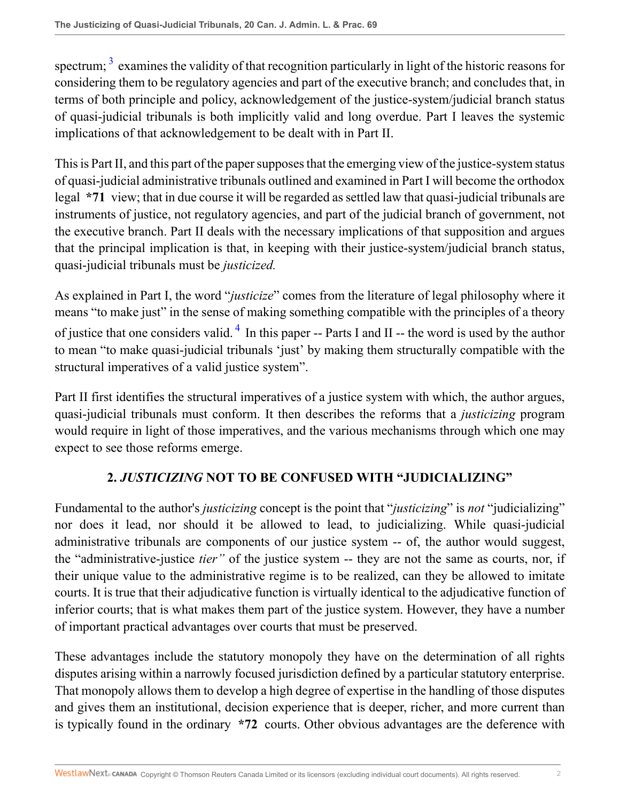<span id="page-1-0"></span>spectrum;  $3$  examines the validity of that recognition particularly in light of the historic reasons for considering them to be regulatory agencies and part of the executive branch; and concludes that, in terms of both principle and policy, acknowledgement of the justice-system/judicial branch status of quasi-judicial tribunals is both implicitly valid and long overdue. Part I leaves the systemic implications of that acknowledgement to be dealt with in Part II.

This is Part II, and this part of the paper supposes that the emerging view of the justice-system status of quasi-judicial administrative tribunals outlined and examined in Part I will become the orthodox legal **\*71** view; that in due course it will be regarded as settled law that quasi-judicial tribunals are instruments of justice, not regulatory agencies, and part of the judicial branch of government, not the executive branch. Part II deals with the necessary implications of that supposition and argues that the principal implication is that, in keeping with their justice-system/judicial branch status, quasi-judicial tribunals must be *justicized.*

<span id="page-1-1"></span>As explained in Part I, the word "*justicize*" comes from the literature of legal philosophy where it means "to make just" in the sense of making something compatible with the principles of a theory of justice that one considers valid.<sup>[4](#page-22-4)</sup> In this paper -- Parts I and II -- the word is used by the author to mean "to make quasi-judicial tribunals 'just' by making them structurally compatible with the structural imperatives of a valid justice system".

Part II first identifies the structural imperatives of a justice system with which, the author argues, quasi-judicial tribunals must conform. It then describes the reforms that a *justicizing* program would require in light of those imperatives, and the various mechanisms through which one may expect to see those reforms emerge.

### **2.** *JUSTICIZING* **NOT TO BE CONFUSED WITH "JUDICIALIZING"**

Fundamental to the author's *justicizing* concept is the point that "*justicizing*" is *not* "judicializing" nor does it lead, nor should it be allowed to lead, to judicializing. While quasi-judicial administrative tribunals are components of our justice system -- of, the author would suggest, the "administrative-justice *tier"* of the justice system -- they are not the same as courts, nor, if their unique value to the administrative regime is to be realized, can they be allowed to imitate courts. It is true that their adjudicative function is virtually identical to the adjudicative function of inferior courts; that is what makes them part of the justice system. However, they have a number of important practical advantages over courts that must be preserved.

These advantages include the statutory monopoly they have on the determination of all rights disputes arising within a narrowly focused jurisdiction defined by a particular statutory enterprise. That monopoly allows them to develop a high degree of expertise in the handling of those disputes and gives them an institutional, decision experience that is deeper, richer, and more current than is typically found in the ordinary **\*72** courts. Other obvious advantages are the deference with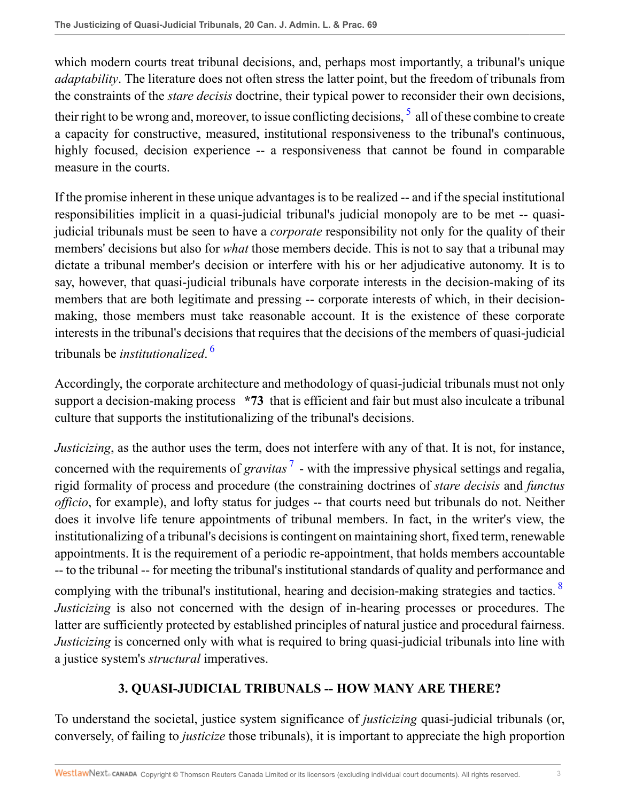<span id="page-2-0"></span>which modern courts treat tribunal decisions, and, perhaps most importantly, a tribunal's unique *adaptability*. The literature does not often stress the latter point, but the freedom of tribunals from the constraints of the *stare decisis* doctrine, their typical power to reconsider their own decisions, their right to be wrong and, moreover, to issue conflicting decisions,  $\frac{1}{2}$  all of these combine to create a capacity for constructive, measured, institutional responsiveness to the tribunal's continuous, highly focused, decision experience -- a responsiveness that cannot be found in comparable measure in the courts.

If the promise inherent in these unique advantages is to be realized -- and if the special institutional responsibilities implicit in a quasi-judicial tribunal's judicial monopoly are to be met -- quasijudicial tribunals must be seen to have a *corporate* responsibility not only for the quality of their members' decisions but also for *what* those members decide. This is not to say that a tribunal may dictate a tribunal member's decision or interfere with his or her adjudicative autonomy. It is to say, however, that quasi-judicial tribunals have corporate interests in the decision-making of its members that are both legitimate and pressing -- corporate interests of which, in their decisionmaking, those members must take reasonable account. It is the existence of these corporate interests in the tribunal's decisions that requires that the decisions of the members of quasi-judicial tribunals be *institutionalized*. [6](#page-22-6)

<span id="page-2-1"></span>Accordingly, the corporate architecture and methodology of quasi-judicial tribunals must not only support a decision-making process **\*73** that is efficient and fair but must also inculcate a tribunal culture that supports the institutionalizing of the tribunal's decisions.

<span id="page-2-2"></span>*Justicizing*, as the author uses the term, does not interfere with any of that. It is not, for instance, concerned with the requirements of *gravitas*<sup>[7](#page-23-0)</sup> - with the impressive physical settings and regalia, rigid formality of process and procedure (the constraining doctrines of *stare decisis* and *functus officio*, for example), and lofty status for judges -- that courts need but tribunals do not. Neither does it involve life tenure appointments of tribunal members. In fact, in the writer's view, the institutionalizing of a tribunal's decisions is contingent on maintaining short, fixed term, renewable appointments. It is the requirement of a periodic re-appointment, that holds members accountable -- to the tribunal -- for meeting the tribunal's institutional standards of quality and performance and complying with the tribunal's institutional, hearing and decision-making strategies and tactics. <sup>[8](#page-23-1)</sup> *Justicizing* is also not concerned with the design of in-hearing processes or procedures. The latter are sufficiently protected by established principles of natural justice and procedural fairness. *Justicizing* is concerned only with what is required to bring quasi-judicial tribunals into line with a justice system's *structural* imperatives.

# <span id="page-2-3"></span>**3. QUASI-JUDICIAL TRIBUNALS -- HOW MANY ARE THERE?**

To understand the societal, justice system significance of *justicizing* quasi-judicial tribunals (or, conversely, of failing to *justicize* those tribunals), it is important to appreciate the high proportion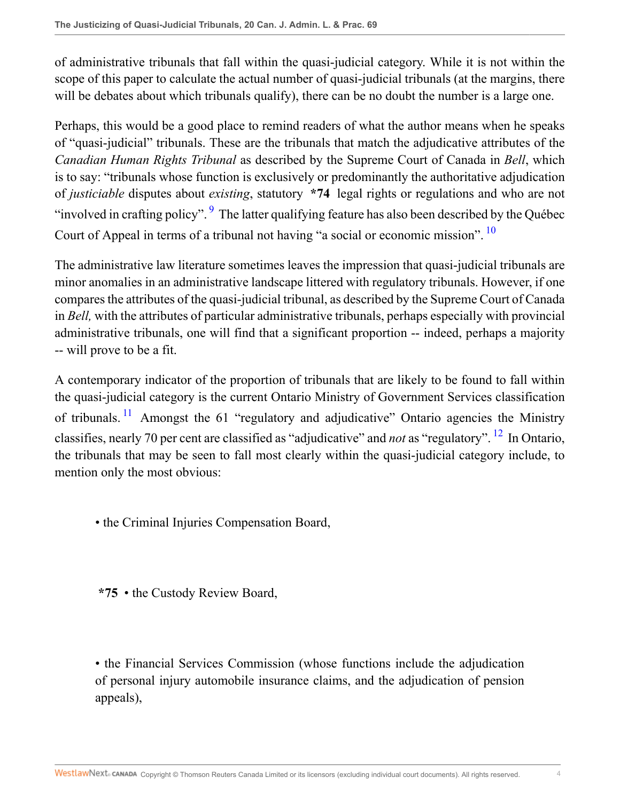of administrative tribunals that fall within the quasi-judicial category. While it is not within the scope of this paper to calculate the actual number of quasi-judicial tribunals (at the margins, there will be debates about which tribunals qualify), there can be no doubt the number is a large one.

Perhaps, this would be a good place to remind readers of what the author means when he speaks of "quasi-judicial" tribunals. These are the tribunals that match the adjudicative attributes of the *Canadian Human Rights Tribunal* as described by the Supreme Court of Canada in *Bell*, which is to say: "tribunals whose function is exclusively or predominantly the authoritative adjudication of *justiciable* disputes about *existing*, statutory **\*74** legal rights or regulations and who are not "involved in crafting policy". <sup>[9](#page-23-2)</sup> The latter qualifying feature has also been described by the Québec Court of Appeal in terms of a tribunal not having "a social or economic mission". <sup>[10](#page-23-3)</sup>

<span id="page-3-1"></span><span id="page-3-0"></span>The administrative law literature sometimes leaves the impression that quasi-judicial tribunals are minor anomalies in an administrative landscape littered with regulatory tribunals. However, if one compares the attributes of the quasi-judicial tribunal, as described by the Supreme Court of Canada in *Bell,* with the attributes of particular administrative tribunals, perhaps especially with provincial administrative tribunals, one will find that a significant proportion -- indeed, perhaps a majority -- will prove to be a fit.

<span id="page-3-2"></span>A contemporary indicator of the proportion of tribunals that are likely to be found to fall within the quasi-judicial category is the current Ontario Ministry of Government Services classification of tribunals.<sup>[11](#page-23-4)</sup> Amongst the 61 "regulatory and adjudicative" Ontario agencies the Ministry classifies, nearly 70 per cent are classified as "adjudicative" and *not* as "regulatory". [12](#page-23-5) In Ontario, the tribunals that may be seen to fall most clearly within the quasi-judicial category include, to mention only the most obvious:

<span id="page-3-3"></span>• the Criminal Injuries Compensation Board,

**\*75** • the Custody Review Board,

• the Financial Services Commission (whose functions include the adjudication of personal injury automobile insurance claims, and the adjudication of pension appeals),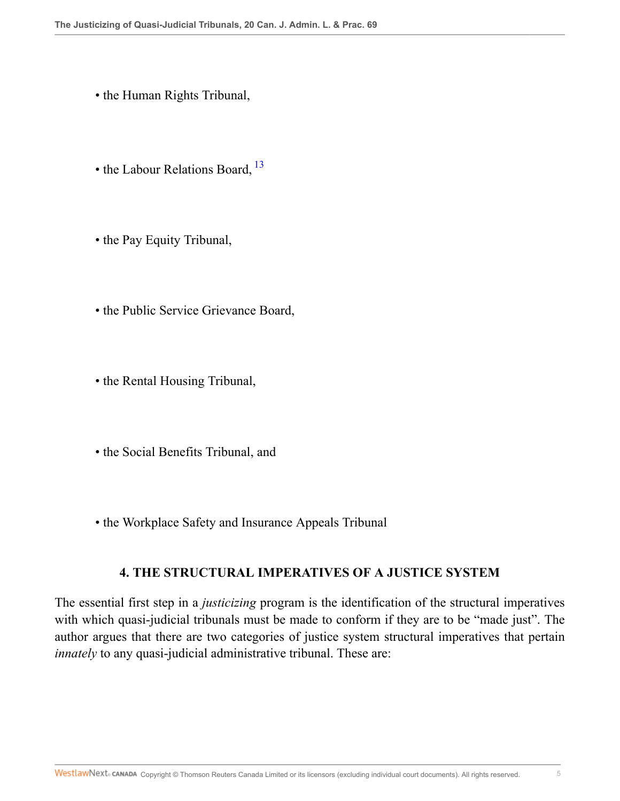- the Human Rights Tribunal,
- <span id="page-4-0"></span>• the Labour Relations Board, <sup>[13](#page-23-6)</sup>
- the Pay Equity Tribunal,
- the Public Service Grievance Board,
- the Rental Housing Tribunal,
- the Social Benefits Tribunal, and
- the Workplace Safety and Insurance Appeals Tribunal

### **4. THE STRUCTURAL IMPERATIVES OF A JUSTICE SYSTEM**

The essential first step in a *justicizing* program is the identification of the structural imperatives with which quasi-judicial tribunals must be made to conform if they are to be "made just". The author argues that there are two categories of justice system structural imperatives that pertain *innately* to any quasi-judicial administrative tribunal. These are: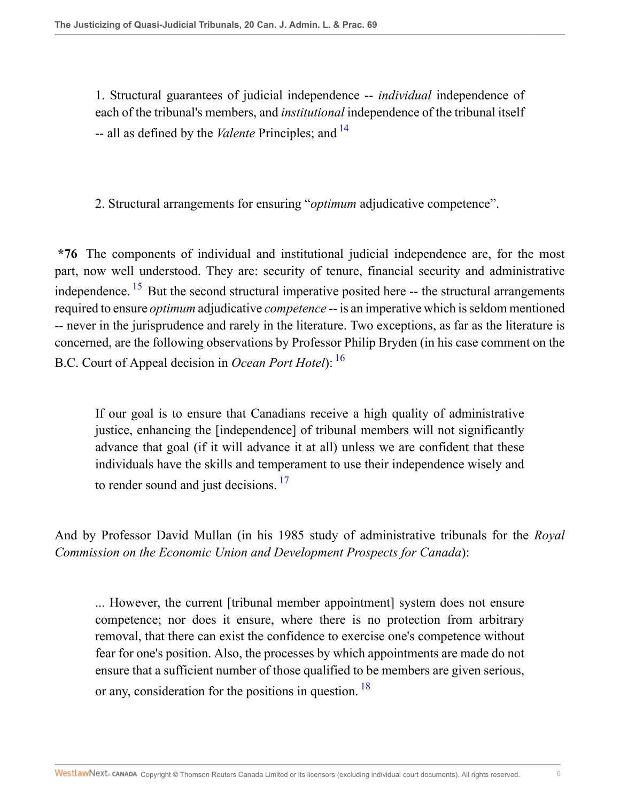<span id="page-5-0"></span>1. Structural guarantees of judicial independence -- *individual* independence of each of the tribunal's members, and *institutional* independence of the tribunal itself -- all as defined by the *Valente* Principles; and [14](#page-23-7)

2. Structural arrangements for ensuring "*optimum* adjudicative competence".

<span id="page-5-1"></span>**\*76** The components of individual and institutional judicial independence are, for the most part, now well understood. They are: security of tenure, financial security and administrative independence.  $15$  But the second structural imperative posited here  $-$ - the structural arrangements required to ensure *optimum* adjudicative *competence* -- is an imperative which is seldom mentioned -- never in the jurisprudence and rarely in the literature. Two exceptions, as far as the literature is concerned, are the following observations by Professor Philip Bryden (in his case comment on the B.C. Court of Appeal decision in *Ocean Port Hotel*): [16](#page-23-9)

<span id="page-5-3"></span><span id="page-5-2"></span>If our goal is to ensure that Canadians receive a high quality of administrative justice, enhancing the [independence] of tribunal members will not significantly advance that goal (if it will advance it at all) unless we are confident that these individuals have the skills and temperament to use their independence wisely and to render sound and just decisions.<sup>[17](#page-23-10)</sup>

And by Professor David Mullan (in his 1985 study of administrative tribunals for the *Royal Commission on the Economic Union and Development Prospects for Canada*):

<span id="page-5-4"></span>... However, the current [tribunal member appointment] system does not ensure competence; nor does it ensure, where there is no protection from arbitrary removal, that there can exist the confidence to exercise one's competence without fear for one's position. Also, the processes by which appointments are made do not ensure that a sufficient number of those qualified to be members are given serious, or any, consideration for the positions in question. <sup>[18](#page-23-11)</sup>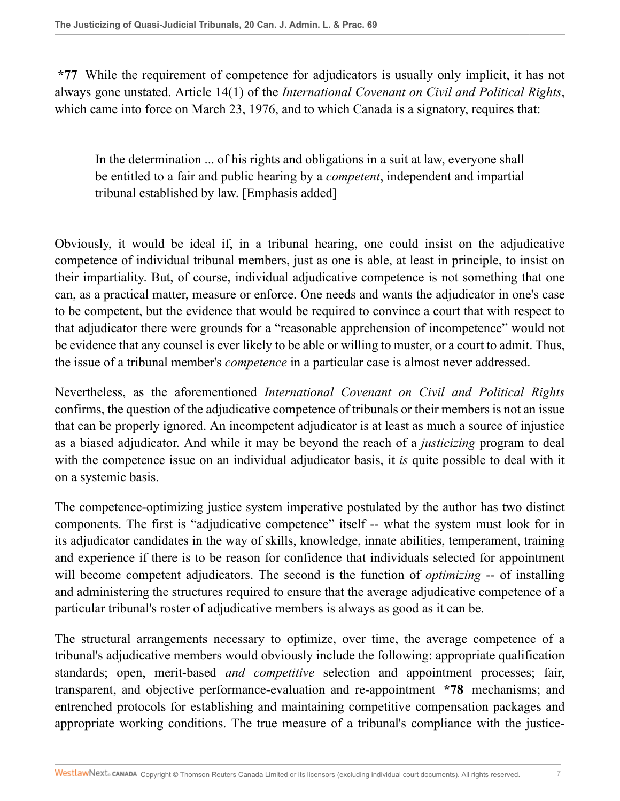**\*77** While the requirement of competence for adjudicators is usually only implicit, it has not always gone unstated. Article 14(1) of the *International Covenant on Civil and Political Rights*, which came into force on March 23, 1976, and to which Canada is a signatory, requires that:

In the determination ... of his rights and obligations in a suit at law, everyone shall be entitled to a fair and public hearing by a *competent*, independent and impartial tribunal established by law. [Emphasis added]

Obviously, it would be ideal if, in a tribunal hearing, one could insist on the adjudicative competence of individual tribunal members, just as one is able, at least in principle, to insist on their impartiality. But, of course, individual adjudicative competence is not something that one can, as a practical matter, measure or enforce. One needs and wants the adjudicator in one's case to be competent, but the evidence that would be required to convince a court that with respect to that adjudicator there were grounds for a "reasonable apprehension of incompetence" would not be evidence that any counsel is ever likely to be able or willing to muster, or a court to admit. Thus, the issue of a tribunal member's *competence* in a particular case is almost never addressed.

Nevertheless, as the aforementioned *International Covenant on Civil and Political Rights* confirms, the question of the adjudicative competence of tribunals or their members is not an issue that can be properly ignored. An incompetent adjudicator is at least as much a source of injustice as a biased adjudicator. And while it may be beyond the reach of a *justicizing* program to deal with the competence issue on an individual adjudicator basis, it *is* quite possible to deal with it on a systemic basis.

The competence-optimizing justice system imperative postulated by the author has two distinct components. The first is "adjudicative competence" itself -- what the system must look for in its adjudicator candidates in the way of skills, knowledge, innate abilities, temperament, training and experience if there is to be reason for confidence that individuals selected for appointment will become competent adjudicators. The second is the function of *optimizing* -- of installing and administering the structures required to ensure that the average adjudicative competence of a particular tribunal's roster of adjudicative members is always as good as it can be.

The structural arrangements necessary to optimize, over time, the average competence of a tribunal's adjudicative members would obviously include the following: appropriate qualification standards; open, merit-based *and competitive* selection and appointment processes; fair, transparent, and objective performance-evaluation and re-appointment **\*78** mechanisms; and entrenched protocols for establishing and maintaining competitive compensation packages and appropriate working conditions. The true measure of a tribunal's compliance with the justice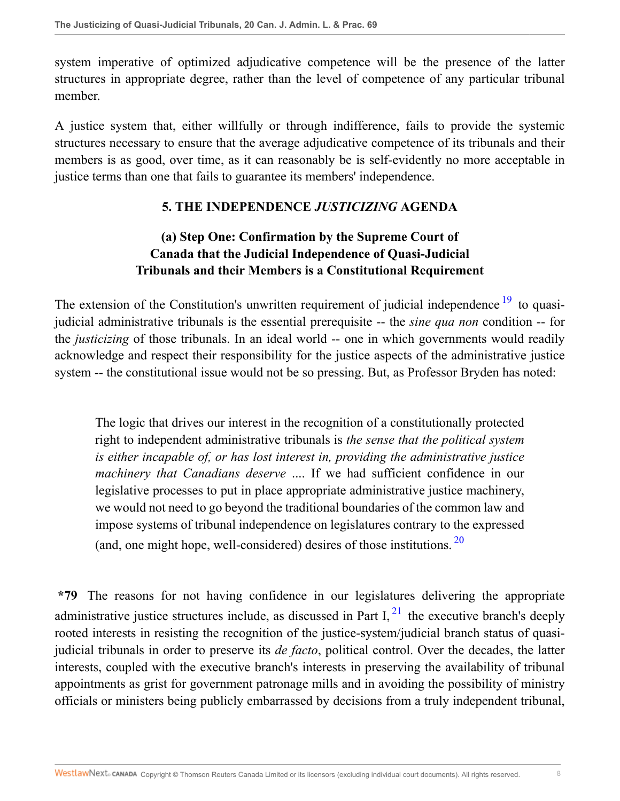system imperative of optimized adjudicative competence will be the presence of the latter structures in appropriate degree, rather than the level of competence of any particular tribunal member.

A justice system that, either willfully or through indifference, fails to provide the systemic structures necessary to ensure that the average adjudicative competence of its tribunals and their members is as good, over time, as it can reasonably be is self-evidently no more acceptable in justice terms than one that fails to guarantee its members' independence.

#### <span id="page-7-0"></span>**5. THE INDEPENDENCE** *JUSTICIZING* **AGENDA**

### **(a) Step One: Confirmation by the Supreme Court of Canada that the Judicial Independence of Quasi-Judicial Tribunals and their Members is a Constitutional Requirement**

The extension of the Constitution's unwritten requirement of judicial independence  $19$  to quasijudicial administrative tribunals is the essential prerequisite -- the *sine qua non* condition -- for the *justicizing* of those tribunals. In an ideal world -- one in which governments would readily acknowledge and respect their responsibility for the justice aspects of the administrative justice system -- the constitutional issue would not be so pressing. But, as Professor Bryden has noted:

<span id="page-7-1"></span>The logic that drives our interest in the recognition of a constitutionally protected right to independent administrative tribunals is *the sense that the political system is either incapable of, or has lost interest in, providing the administrative justice machinery that Canadians deserve* .... If we had sufficient confidence in our legislative processes to put in place appropriate administrative justice machinery, we would not need to go beyond the traditional boundaries of the common law and impose systems of tribunal independence on legislatures contrary to the expressed (and, one might hope, well-considered) desires of those institutions.  $20$ 

<span id="page-7-2"></span>**\*79** The reasons for not having confidence in our legislatures delivering the appropriate administrative justice structures include, as discussed in Part I,  $^{21}$  $^{21}$  $^{21}$  the executive branch's deeply rooted interests in resisting the recognition of the justice-system/judicial branch status of quasijudicial tribunals in order to preserve its *de facto*, political control. Over the decades, the latter interests, coupled with the executive branch's interests in preserving the availability of tribunal appointments as grist for government patronage mills and in avoiding the possibility of ministry officials or ministers being publicly embarrassed by decisions from a truly independent tribunal,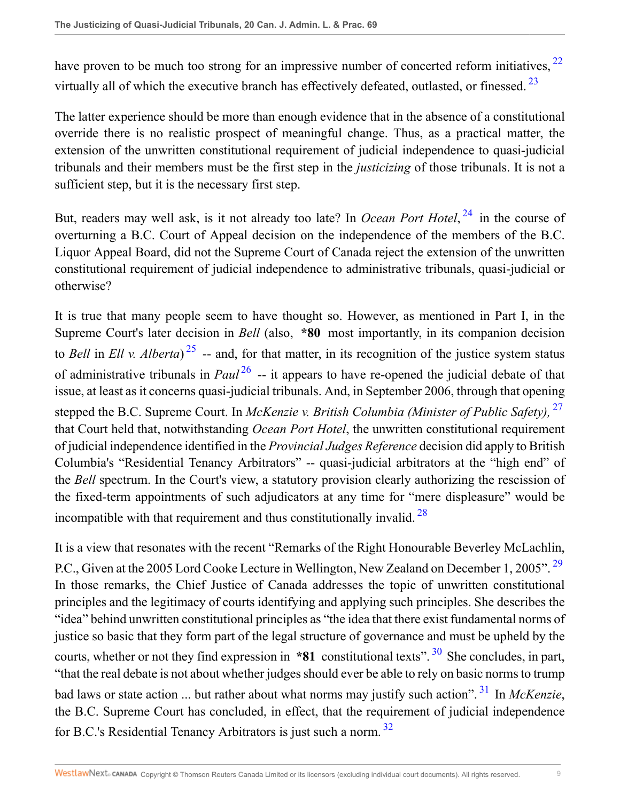<span id="page-8-1"></span><span id="page-8-0"></span>have proven to be much too strong for an impressive number of concerted reform initiatives,  $^{22}$  $^{22}$  $^{22}$ virtually all of which the executive branch has effectively defeated, outlasted, or finessed.<sup>[23](#page-24-3)</sup>

The latter experience should be more than enough evidence that in the absence of a constitutional override there is no realistic prospect of meaningful change. Thus, as a practical matter, the extension of the unwritten constitutional requirement of judicial independence to quasi-judicial tribunals and their members must be the first step in the *justicizing* of those tribunals. It is not a sufficient step, but it is the necessary first step.

<span id="page-8-2"></span>But, readers may well ask, is it not already too late? In *Ocean Port Hotel*, [24](#page-24-4) in the course of overturning a B.C. Court of Appeal decision on the independence of the members of the B.C. Liquor Appeal Board, did not the Supreme Court of Canada reject the extension of the unwritten constitutional requirement of judicial independence to administrative tribunals, quasi-judicial or otherwise?

<span id="page-8-5"></span><span id="page-8-4"></span><span id="page-8-3"></span>It is true that many people seem to have thought so. However, as mentioned in Part I, in the Supreme Court's later decision in *Bell* (also, **\*80** most importantly, in its companion decision to *Bell* in *Ell v. Alberta*) [25](#page-24-5) -- and, for that matter, in its recognition of the justice system status of administrative tribunals in *Paul* <sup>[26](#page-24-6)</sup> -- it appears to have re-opened the judicial debate of that issue, at least as it concerns quasi-judicial tribunals. And, in September 2006, through that opening stepped the B.C. Supreme Court. In *McKenzie v. British Columbia (Minister of Public Safety),* [27](#page-24-7) that Court held that, notwithstanding *Ocean Port Hotel*, the unwritten constitutional requirement of judicial independence identified in the *Provincial Judges Reference* decision did apply to British Columbia's "Residential Tenancy Arbitrators" -- quasi-judicial arbitrators at the "high end" of the *Bell* spectrum. In the Court's view, a statutory provision clearly authorizing the rescission of the fixed-term appointments of such adjudicators at any time for "mere displeasure" would be incompatible with that requirement and thus constitutionally invalid.  $28$ 

<span id="page-8-10"></span><span id="page-8-9"></span><span id="page-8-8"></span><span id="page-8-7"></span><span id="page-8-6"></span>It is a view that resonates with the recent "Remarks of the Right Honourable Beverley McLachlin, P.C., Given at the 2005 Lord Cooke Lecture in Wellington, New Zealand on December 1, 2005".<sup>[29](#page-24-9)</sup> In those remarks, the Chief Justice of Canada addresses the topic of unwritten constitutional principles and the legitimacy of courts identifying and applying such principles. She describes the "idea" behind unwritten constitutional principles as "the idea that there exist fundamental norms of justice so basic that they form part of the legal structure of governance and must be upheld by the courts, whether or not they find expression in **\*81** constitutional texts". <sup>[30](#page-24-10)</sup> She concludes, in part, "that the real debate is not about whether judges should ever be able to rely on basic norms to trump bad laws or state action ... but rather about what norms may justify such action". [31](#page-24-11) In *McKenzie*, the B.C. Supreme Court has concluded, in effect, that the requirement of judicial independence for B.C.'s Residential Tenancy Arbitrators is just such a norm. [32](#page-24-12)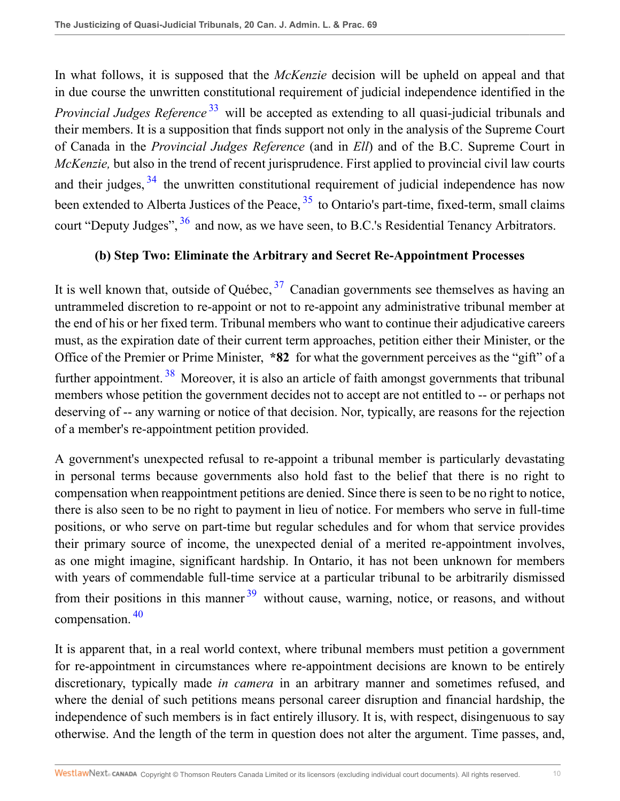<span id="page-9-0"></span>In what follows, it is supposed that the *McKenzie* decision will be upheld on appeal and that in due course the unwritten constitutional requirement of judicial independence identified in the *Provincial Judges Reference* [33](#page-24-13) will be accepted as extending to all quasi-judicial tribunals and their members. It is a supposition that finds support not only in the analysis of the Supreme Court of Canada in the *Provincial Judges Reference* (and in *Ell*) and of the B.C. Supreme Court in *McKenzie,* but also in the trend of recent jurisprudence. First applied to provincial civil law courts and their judges,  $34$  the unwritten constitutional requirement of judicial independence has now been extended to Alberta Justices of the Peace,  $35$  to Ontario's part-time, fixed-term, small claims court "Deputy Judges", <sup>[36](#page-24-16)</sup> and now, as we have seen, to B.C.'s Residential Tenancy Arbitrators.

#### <span id="page-9-5"></span><span id="page-9-4"></span><span id="page-9-3"></span><span id="page-9-2"></span><span id="page-9-1"></span>**(b) Step Two: Eliminate the Arbitrary and Secret Re-Appointment Processes**

It is well known that, outside of Québec,  $37$  Canadian governments see themselves as having an untrammeled discretion to re-appoint or not to re-appoint any administrative tribunal member at the end of his or her fixed term. Tribunal members who want to continue their adjudicative careers must, as the expiration date of their current term approaches, petition either their Minister, or the Office of the Premier or Prime Minister, **\*82** for what the government perceives as the "gift" of a further appointment.<sup>[38](#page-25-1)</sup> Moreover, it is also an article of faith amongst governments that tribunal members whose petition the government decides not to accept are not entitled to -- or perhaps not deserving of -- any warning or notice of that decision. Nor, typically, are reasons for the rejection of a member's re-appointment petition provided.

A government's unexpected refusal to re-appoint a tribunal member is particularly devastating in personal terms because governments also hold fast to the belief that there is no right to compensation when reappointment petitions are denied. Since there is seen to be no right to notice, there is also seen to be no right to payment in lieu of notice. For members who serve in full-time positions, or who serve on part-time but regular schedules and for whom that service provides their primary source of income, the unexpected denial of a merited re-appointment involves, as one might imagine, significant hardship. In Ontario, it has not been unknown for members with years of commendable full-time service at a particular tribunal to be arbitrarily dismissed from their positions in this manner  $39$  without cause, warning, notice, or reasons, and without compensation. [40](#page-25-3)

<span id="page-9-7"></span><span id="page-9-6"></span>It is apparent that, in a real world context, where tribunal members must petition a government for re-appointment in circumstances where re-appointment decisions are known to be entirely discretionary, typically made *in camera* in an arbitrary manner and sometimes refused, and where the denial of such petitions means personal career disruption and financial hardship, the independence of such members is in fact entirely illusory. It is, with respect, disingenuous to say otherwise. And the length of the term in question does not alter the argument. Time passes, and,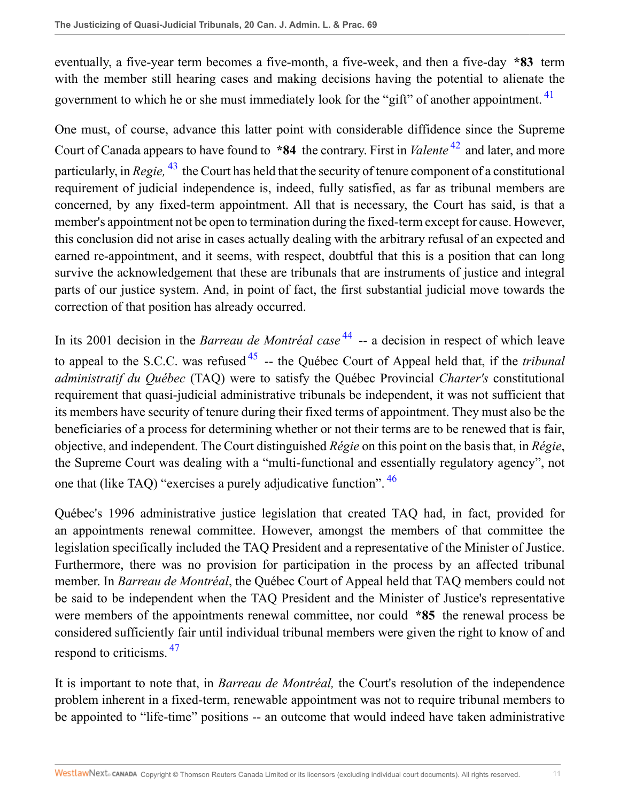<span id="page-10-0"></span>eventually, a five-year term becomes a five-month, a five-week, and then a five-day **\*83** term with the member still hearing cases and making decisions having the potential to alienate the government to which he or she must immediately look for the "gift" of another appointment. <sup>[41](#page-25-4)</sup>

<span id="page-10-2"></span><span id="page-10-1"></span>One must, of course, advance this latter point with considerable diffidence since the Supreme Court of Canada appears to have found to **\*84** the contrary. First in *Valente* [42](#page-25-5) and later, and more particularly, in *Regie,* [43](#page-25-6) the Court has held that the security of tenure component of a constitutional requirement of judicial independence is, indeed, fully satisfied, as far as tribunal members are concerned, by any fixed-term appointment. All that is necessary, the Court has said, is that a member's appointment not be open to termination during the fixed-term except for cause. However, this conclusion did not arise in cases actually dealing with the arbitrary refusal of an expected and earned re-appointment, and it seems, with respect, doubtful that this is a position that can long survive the acknowledgement that these are tribunals that are instruments of justice and integral parts of our justice system. And, in point of fact, the first substantial judicial move towards the correction of that position has already occurred.

<span id="page-10-4"></span><span id="page-10-3"></span>In its 2001 decision in the *Barreau de Montréal case* [44](#page-25-7) -- a decision in respect of which leave to appeal to the S.C.C. was refused [45](#page-26-0) -- the Québec Court of Appeal held that, if the *tribunal administratif du Québec* (TAQ) were to satisfy the Québec Provincial *Charter's* constitutional requirement that quasi-judicial administrative tribunals be independent, it was not sufficient that its members have security of tenure during their fixed terms of appointment. They must also be the beneficiaries of a process for determining whether or not their terms are to be renewed that is fair, objective, and independent. The Court distinguished *Régie* on this point on the basis that, in *Régie*, the Supreme Court was dealing with a "multi-functional and essentially regulatory agency", not one that (like TAQ) "exercises a purely adjudicative function". [46](#page-26-1)

<span id="page-10-5"></span>Québec's 1996 administrative justice legislation that created TAQ had, in fact, provided for an appointments renewal committee. However, amongst the members of that committee the legislation specifically included the TAQ President and a representative of the Minister of Justice. Furthermore, there was no provision for participation in the process by an affected tribunal member. In *Barreau de Montréal*, the Québec Court of Appeal held that TAQ members could not be said to be independent when the TAQ President and the Minister of Justice's representative were members of the appointments renewal committee, nor could **\*85** the renewal process be considered sufficiently fair until individual tribunal members were given the right to know of and respond to criticisms.  $47$ 

<span id="page-10-6"></span>It is important to note that, in *Barreau de Montréal,* the Court's resolution of the independence problem inherent in a fixed-term, renewable appointment was not to require tribunal members to be appointed to "life-time" positions -- an outcome that would indeed have taken administrative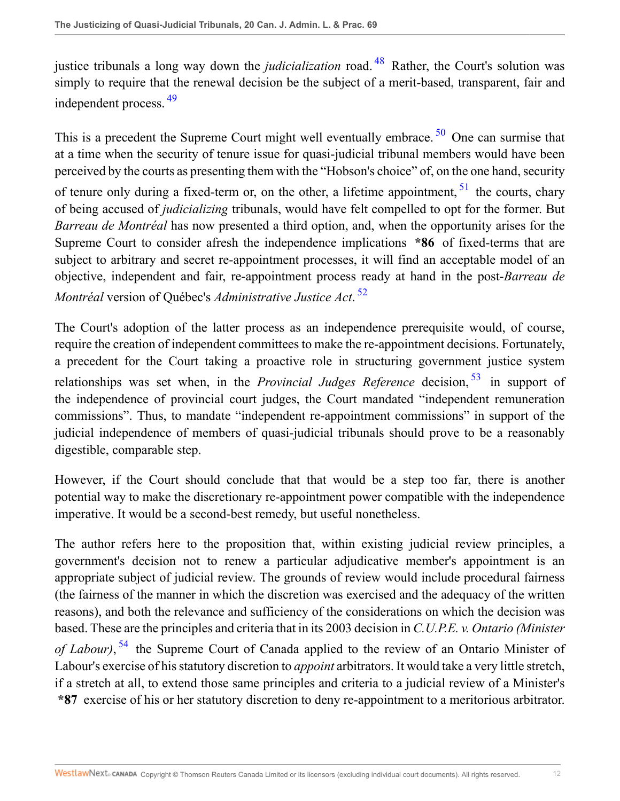<span id="page-11-1"></span><span id="page-11-0"></span>justice tribunals a long way down the *judicialization* road. [48](#page-26-3) Rather, the Court's solution was simply to require that the renewal decision be the subject of a merit-based, transparent, fair and independent process. [49](#page-26-4)

<span id="page-11-2"></span>This is a precedent the Supreme Court might well eventually embrace. <sup>[50](#page-26-5)</sup> One can surmise that at a time when the security of tenure issue for quasi-judicial tribunal members would have been perceived by the courts as presenting them with the "Hobson's choice" of, on the one hand, security

<span id="page-11-3"></span>of tenure only during a fixed-term or, on the other, a lifetime appointment,  $51$  the courts, chary of being accused of *judicializing* tribunals, would have felt compelled to opt for the former. But *Barreau de Montréal* has now presented a third option, and, when the opportunity arises for the Supreme Court to consider afresh the independence implications **\*86** of fixed-terms that are subject to arbitrary and secret re-appointment processes, it will find an acceptable model of an objective, independent and fair, re-appointment process ready at hand in the post-*Barreau de Montréal* version of Québec's *Administrative Justice Act*. [52](#page-26-7)

<span id="page-11-5"></span><span id="page-11-4"></span>The Court's adoption of the latter process as an independence prerequisite would, of course, require the creation of independent committees to make the re-appointment decisions. Fortunately, a precedent for the Court taking a proactive role in structuring government justice system relationships was set when, in the *Provincial Judges Reference* decision, <sup>[53](#page-26-8)</sup> in support of the independence of provincial court judges, the Court mandated "independent remuneration commissions". Thus, to mandate "independent re-appointment commissions" in support of the judicial independence of members of quasi-judicial tribunals should prove to be a reasonably digestible, comparable step.

However, if the Court should conclude that that would be a step too far, there is another potential way to make the discretionary re-appointment power compatible with the independence imperative. It would be a second-best remedy, but useful nonetheless.

<span id="page-11-6"></span>The author refers here to the proposition that, within existing judicial review principles, a government's decision not to renew a particular adjudicative member's appointment is an appropriate subject of judicial review. The grounds of review would include procedural fairness (the fairness of the manner in which the discretion was exercised and the adequacy of the written reasons), and both the relevance and sufficiency of the considerations on which the decision was based. These are the principles and criteria that in its 2003 decision in *C.U.P.E. v. Ontario (Minister of Labour)*, [54](#page-26-9) the Supreme Court of Canada applied to the review of an Ontario Minister of Labour's exercise of his statutory discretion to *appoint* arbitrators. It would take a very little stretch, if a stretch at all, to extend those same principles and criteria to a judicial review of a Minister's **\*87** exercise of his or her statutory discretion to deny re-appointment to a meritorious arbitrator.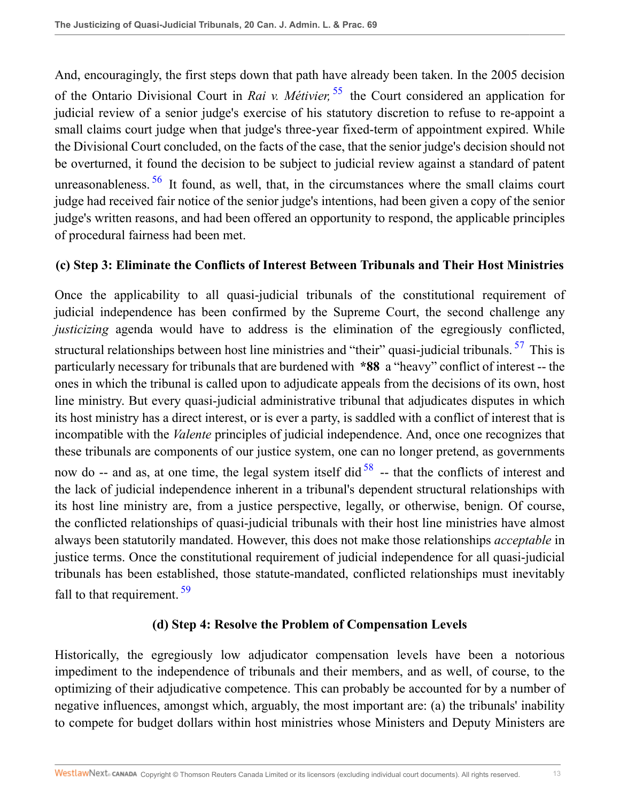<span id="page-12-0"></span>And, encouragingly, the first steps down that path have already been taken. In the 2005 decision of the Ontario Divisional Court in *Rai v. Métivier,* [55](#page-26-10) the Court considered an application for judicial review of a senior judge's exercise of his statutory discretion to refuse to re-appoint a small claims court judge when that judge's three-year fixed-term of appointment expired. While the Divisional Court concluded, on the facts of the case, that the senior judge's decision should not be overturned, it found the decision to be subject to judicial review against a standard of patent unreasonableness. <sup>[56](#page-26-11)</sup> It found, as well, that, in the circumstances where the small claims court judge had received fair notice of the senior judge's intentions, had been given a copy of the senior judge's written reasons, and had been offered an opportunity to respond, the applicable principles of procedural fairness had been met.

#### <span id="page-12-1"></span>**(c) Step 3: Eliminate the Conflicts of Interest Between Tribunals and Their Host Ministries**

Once the applicability to all quasi-judicial tribunals of the constitutional requirement of judicial independence has been confirmed by the Supreme Court, the second challenge any *justicizing* agenda would have to address is the elimination of the egregiously conflicted, structural relationships between host line ministries and "their" quasi-judicial tribunals. [57](#page-26-12) This is particularly necessary for tribunals that are burdened with **\*88** a "heavy" conflict of interest -- the ones in which the tribunal is called upon to adjudicate appeals from the decisions of its own, host line ministry. But every quasi-judicial administrative tribunal that adjudicates disputes in which its host ministry has a direct interest, or is ever a party, is saddled with a conflict of interest that is incompatible with the *Valente* principles of judicial independence. And, once one recognizes that these tribunals are components of our justice system, one can no longer pretend, as governments now do -- and as, at one time, the legal system itself did  $58$  -- that the conflicts of interest and the lack of judicial independence inherent in a tribunal's dependent structural relationships with its host line ministry are, from a justice perspective, legally, or otherwise, benign. Of course, the conflicted relationships of quasi-judicial tribunals with their host line ministries have almost always been statutorily mandated. However, this does not make those relationships *acceptable* in justice terms. Once the constitutional requirement of judicial independence for all quasi-judicial tribunals has been established, those statute-mandated, conflicted relationships must inevitably fall to that requirement. <sup>[59](#page-27-1)</sup>

#### <span id="page-12-4"></span><span id="page-12-3"></span><span id="page-12-2"></span>**(d) Step 4: Resolve the Problem of Compensation Levels**

Historically, the egregiously low adjudicator compensation levels have been a notorious impediment to the independence of tribunals and their members, and as well, of course, to the optimizing of their adjudicative competence. This can probably be accounted for by a number of negative influences, amongst which, arguably, the most important are: (a) the tribunals' inability to compete for budget dollars within host ministries whose Ministers and Deputy Ministers are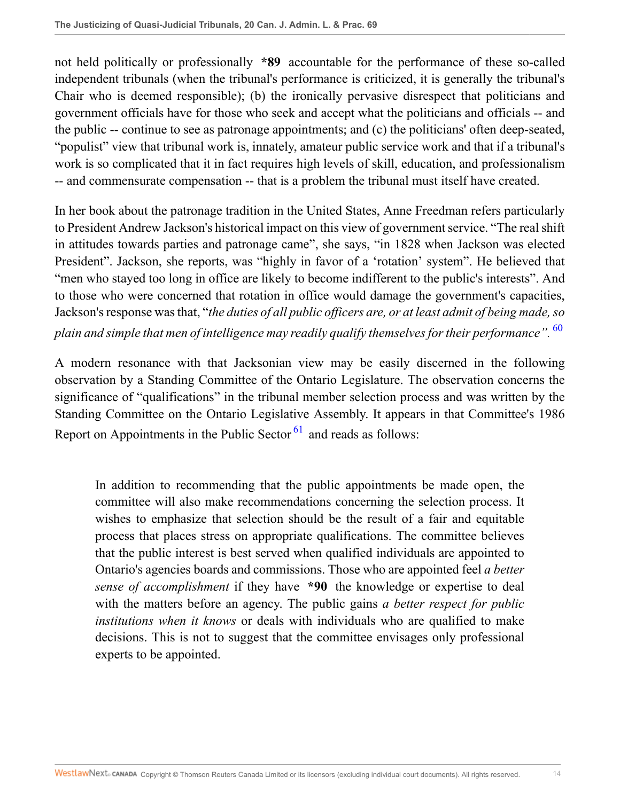not held politically or professionally **\*89** accountable for the performance of these so-called independent tribunals (when the tribunal's performance is criticized, it is generally the tribunal's Chair who is deemed responsible); (b) the ironically pervasive disrespect that politicians and government officials have for those who seek and accept what the politicians and officials -- and the public -- continue to see as patronage appointments; and (c) the politicians' often deep-seated, "populist" view that tribunal work is, innately, amateur public service work and that if a tribunal's work is so complicated that it in fact requires high levels of skill, education, and professionalism -- and commensurate compensation -- that is a problem the tribunal must itself have created.

In her book about the patronage tradition in the United States, Anne Freedman refers particularly to President Andrew Jackson's historical impact on this view of government service. "The real shift in attitudes towards parties and patronage came", she says, "in 1828 when Jackson was elected President". Jackson, she reports, was "highly in favor of a 'rotation' system". He believed that "men who stayed too long in office are likely to become indifferent to the public's interests". And to those who were concerned that rotation in office would damage the government's capacities, Jackson's response was that, "*the duties of all public officers are, or at least admit of being made, so*

*plain and simple that men of intelligence may readily qualify themselves for their performance".* [60](#page-27-2)

A modern resonance with that Jacksonian view may be easily discerned in the following observation by a Standing Committee of the Ontario Legislature. The observation concerns the significance of "qualifications" in the tribunal member selection process and was written by the Standing Committee on the Ontario Legislative Assembly. It appears in that Committee's 1986 Report on Appointments in the Public Sector  $61$  and reads as follows:

<span id="page-13-1"></span><span id="page-13-0"></span>In addition to recommending that the public appointments be made open, the committee will also make recommendations concerning the selection process. It wishes to emphasize that selection should be the result of a fair and equitable process that places stress on appropriate qualifications. The committee believes that the public interest is best served when qualified individuals are appointed to Ontario's agencies boards and commissions. Those who are appointed feel *a better sense of accomplishment* if they have **\*90** the knowledge or expertise to deal with the matters before an agency. The public gains *a better respect for public institutions when it knows* or deals with individuals who are qualified to make decisions. This is not to suggest that the committee envisages only professional experts to be appointed.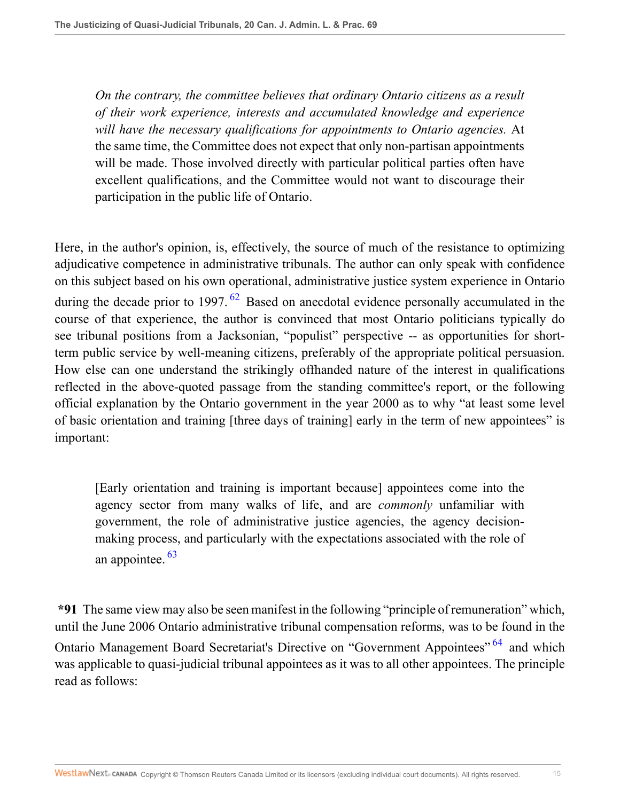*On the contrary, the committee believes that ordinary Ontario citizens as a result of their work experience, interests and accumulated knowledge and experience will have the necessary qualifications for appointments to Ontario agencies.* At the same time, the Committee does not expect that only non-partisan appointments will be made. Those involved directly with particular political parties often have excellent qualifications, and the Committee would not want to discourage their participation in the public life of Ontario.

<span id="page-14-0"></span>Here, in the author's opinion, is, effectively, the source of much of the resistance to optimizing adjudicative competence in administrative tribunals. The author can only speak with confidence on this subject based on his own operational, administrative justice system experience in Ontario during the decade prior to 1997.  $62$  Based on anecdotal evidence personally accumulated in the course of that experience, the author is convinced that most Ontario politicians typically do see tribunal positions from a Jacksonian, "populist" perspective -- as opportunities for shortterm public service by well-meaning citizens, preferably of the appropriate political persuasion. How else can one understand the strikingly offhanded nature of the interest in qualifications reflected in the above-quoted passage from the standing committee's report, or the following official explanation by the Ontario government in the year 2000 as to why "at least some level of basic orientation and training [three days of training] early in the term of new appointees" is important:

<span id="page-14-2"></span><span id="page-14-1"></span>[Early orientation and training is important because] appointees come into the agency sector from many walks of life, and are *commonly* unfamiliar with government, the role of administrative justice agencies, the agency decisionmaking process, and particularly with the expectations associated with the role of an appointee. [63](#page-27-5)

**\*91** The same view may also be seen manifest in the following "principle of remuneration" which, until the June 2006 Ontario administrative tribunal compensation reforms, was to be found in the Ontario Management Board Secretariat's Directive on "Government Appointees" <sup>[64](#page-27-6)</sup> and which was applicable to quasi-judicial tribunal appointees as it was to all other appointees. The principle read as follows: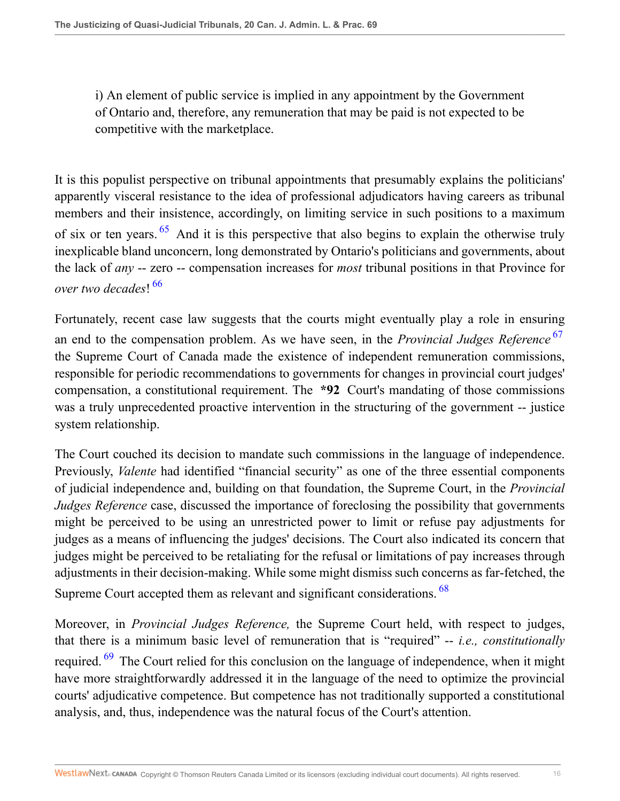i) An element of public service is implied in any appointment by the Government of Ontario and, therefore, any remuneration that may be paid is not expected to be competitive with the marketplace.

<span id="page-15-0"></span>It is this populist perspective on tribunal appointments that presumably explains the politicians' apparently visceral resistance to the idea of professional adjudicators having careers as tribunal members and their insistence, accordingly, on limiting service in such positions to a maximum of six or ten years.  $65$  And it is this perspective that also begins to explain the otherwise truly inexplicable bland unconcern, long demonstrated by Ontario's politicians and governments, about the lack of *any* -- zero -- compensation increases for *most* tribunal positions in that Province for *over two decades*! [66](#page-27-8)

<span id="page-15-2"></span><span id="page-15-1"></span>Fortunately, recent case law suggests that the courts might eventually play a role in ensuring an end to the compensation problem. As we have seen, in the *Provincial Judges Reference* [67](#page-27-9) the Supreme Court of Canada made the existence of independent remuneration commissions, responsible for periodic recommendations to governments for changes in provincial court judges' compensation, a constitutional requirement. The **\*92** Court's mandating of those commissions was a truly unprecedented proactive intervention in the structuring of the government -- justice system relationship.

The Court couched its decision to mandate such commissions in the language of independence. Previously, *Valente* had identified "financial security" as one of the three essential components of judicial independence and, building on that foundation, the Supreme Court, in the *Provincial Judges Reference* case, discussed the importance of foreclosing the possibility that governments might be perceived to be using an unrestricted power to limit or refuse pay adjustments for judges as a means of influencing the judges' decisions. The Court also indicated its concern that judges might be perceived to be retaliating for the refusal or limitations of pay increases through adjustments in their decision-making. While some might dismiss such concerns as far-fetched, the Supreme Court accepted them as relevant and significant considerations. <sup>[68](#page-27-10)</sup>

<span id="page-15-4"></span><span id="page-15-3"></span>Moreover, in *Provincial Judges Reference,* the Supreme Court held, with respect to judges, that there is a minimum basic level of remuneration that is "required" -- *i.e., constitutionally* required. <sup>[69](#page-27-11)</sup> The Court relied for this conclusion on the language of independence, when it might have more straightforwardly addressed it in the language of the need to optimize the provincial courts' adjudicative competence. But competence has not traditionally supported a constitutional analysis, and, thus, independence was the natural focus of the Court's attention.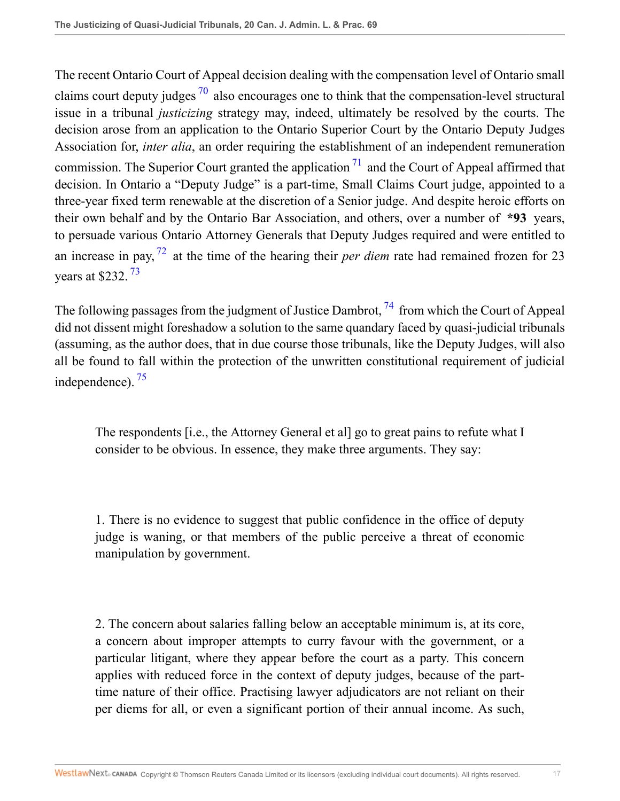<span id="page-16-1"></span><span id="page-16-0"></span>The recent Ontario Court of Appeal decision dealing with the compensation level of Ontario small claims court deputy judges  $\frac{70}{2}$  $\frac{70}{2}$  $\frac{70}{2}$  also encourages one to think that the compensation-level structural issue in a tribunal *justicizing* strategy may, indeed, ultimately be resolved by the courts. The decision arose from an application to the Ontario Superior Court by the Ontario Deputy Judges Association for, *inter alia*, an order requiring the establishment of an independent remuneration commission. The Superior Court granted the application  $^{71}$  $^{71}$  $^{71}$  and the Court of Appeal affirmed that decision. In Ontario a "Deputy Judge" is a part-time, Small Claims Court judge, appointed to a three-year fixed term renewable at the discretion of a Senior judge. And despite heroic efforts on their own behalf and by the Ontario Bar Association, and others, over a number of **\*93** years, to persuade various Ontario Attorney Generals that Deputy Judges required and were entitled to an increase in pay, [72](#page-27-14) at the time of the hearing their *per diem* rate had remained frozen for 23 years at \$232. [73](#page-27-15)

<span id="page-16-3"></span><span id="page-16-2"></span>The following passages from the judgment of Justice Dambrot,  $^{74}$  $^{74}$  $^{74}$  from which the Court of Appeal did not dissent might foreshadow a solution to the same quandary faced by quasi-judicial tribunals (assuming, as the author does, that in due course those tribunals, like the Deputy Judges, will also all be found to fall within the protection of the unwritten constitutional requirement of judicial independence). [75](#page-28-1)

<span id="page-16-5"></span><span id="page-16-4"></span>The respondents [i.e., the Attorney General et al] go to great pains to refute what I consider to be obvious. In essence, they make three arguments. They say:

1. There is no evidence to suggest that public confidence in the office of deputy judge is waning, or that members of the public perceive a threat of economic manipulation by government.

2. The concern about salaries falling below an acceptable minimum is, at its core, a concern about improper attempts to curry favour with the government, or a particular litigant, where they appear before the court as a party. This concern applies with reduced force in the context of deputy judges, because of the parttime nature of their office. Practising lawyer adjudicators are not reliant on their per diems for all, or even a significant portion of their annual income. As such,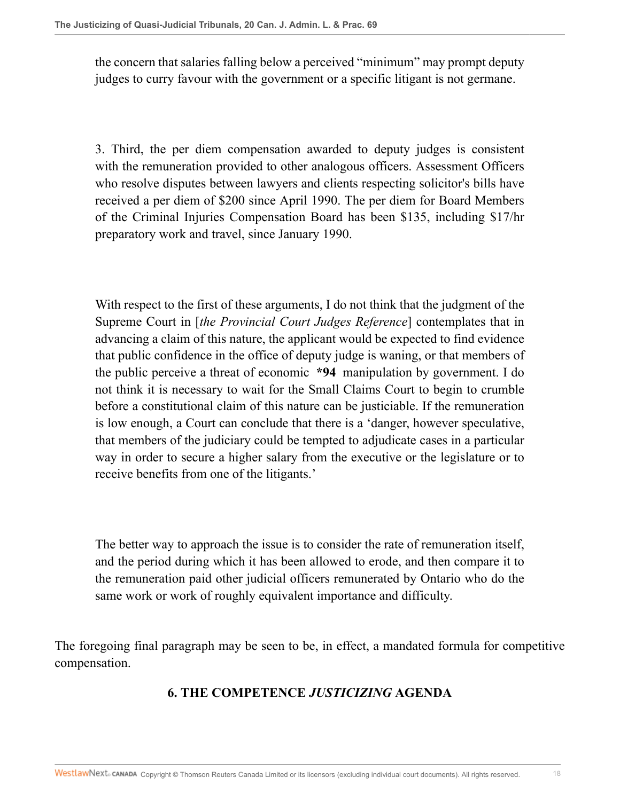the concern that salaries falling below a perceived "minimum" may prompt deputy judges to curry favour with the government or a specific litigant is not germane.

3. Third, the per diem compensation awarded to deputy judges is consistent with the remuneration provided to other analogous officers. Assessment Officers who resolve disputes between lawyers and clients respecting solicitor's bills have received a per diem of \$200 since April 1990. The per diem for Board Members of the Criminal Injuries Compensation Board has been \$135, including \$17/hr preparatory work and travel, since January 1990.

With respect to the first of these arguments, I do not think that the judgment of the Supreme Court in [*the Provincial Court Judges Reference*] contemplates that in advancing a claim of this nature, the applicant would be expected to find evidence that public confidence in the office of deputy judge is waning, or that members of the public perceive a threat of economic **\*94** manipulation by government. I do not think it is necessary to wait for the Small Claims Court to begin to crumble before a constitutional claim of this nature can be justiciable. If the remuneration is low enough, a Court can conclude that there is a 'danger, however speculative, that members of the judiciary could be tempted to adjudicate cases in a particular way in order to secure a higher salary from the executive or the legislature or to receive benefits from one of the litigants.'

The better way to approach the issue is to consider the rate of remuneration itself, and the period during which it has been allowed to erode, and then compare it to the remuneration paid other judicial officers remunerated by Ontario who do the same work or work of roughly equivalent importance and difficulty.

The foregoing final paragraph may be seen to be, in effect, a mandated formula for competitive compensation.

# **6. THE COMPETENCE** *JUSTICIZING* **AGENDA**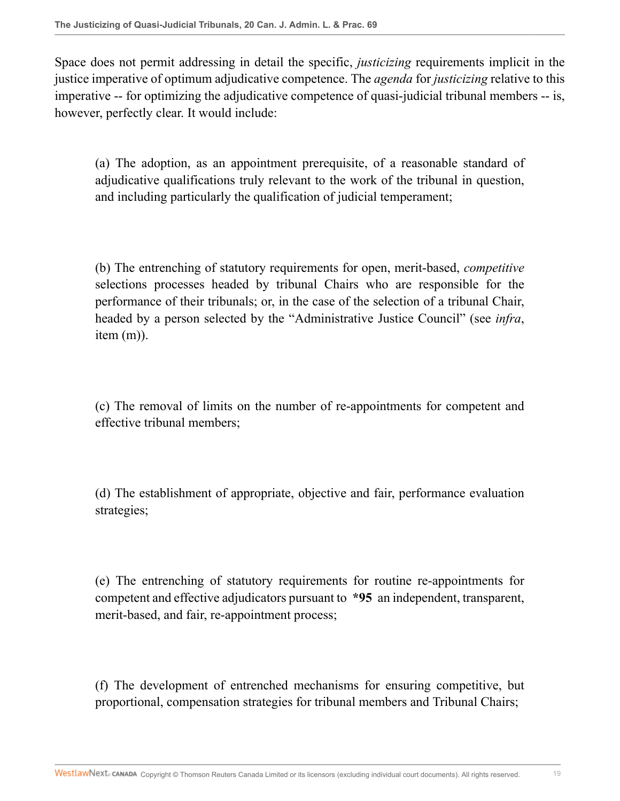Space does not permit addressing in detail the specific, *justicizing* requirements implicit in the justice imperative of optimum adjudicative competence. The *agenda* for *justicizing* relative to this imperative -- for optimizing the adjudicative competence of quasi-judicial tribunal members -- is, however, perfectly clear. It would include:

(a) The adoption, as an appointment prerequisite, of a reasonable standard of adjudicative qualifications truly relevant to the work of the tribunal in question, and including particularly the qualification of judicial temperament;

(b) The entrenching of statutory requirements for open, merit-based, *competitive* selections processes headed by tribunal Chairs who are responsible for the performance of their tribunals; or, in the case of the selection of a tribunal Chair, headed by a person selected by the "Administrative Justice Council" (see *infra*, item (m)).

(c) The removal of limits on the number of re-appointments for competent and effective tribunal members;

(d) The establishment of appropriate, objective and fair, performance evaluation strategies;

(e) The entrenching of statutory requirements for routine re-appointments for competent and effective adjudicators pursuant to **\*95** an independent, transparent, merit-based, and fair, re-appointment process;

(f) The development of entrenched mechanisms for ensuring competitive, but proportional, compensation strategies for tribunal members and Tribunal Chairs;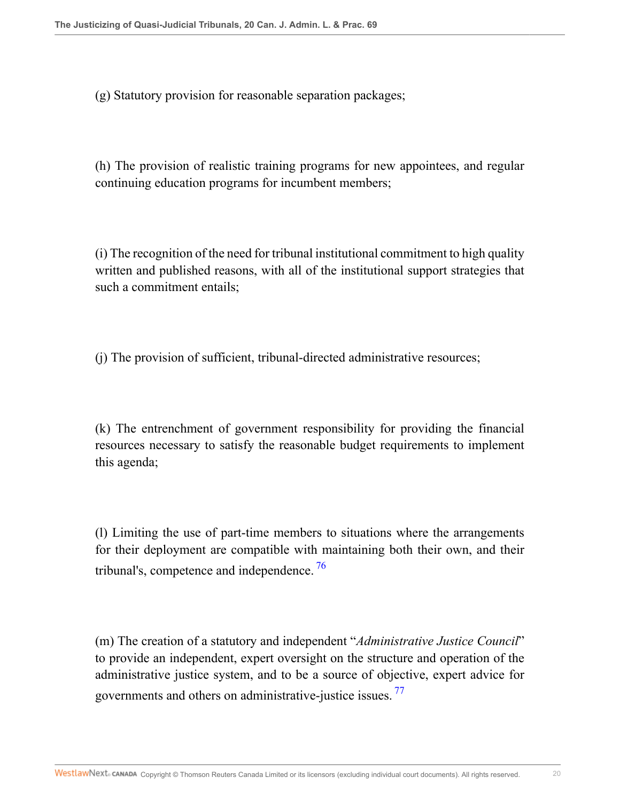(g) Statutory provision for reasonable separation packages;

(h) The provision of realistic training programs for new appointees, and regular continuing education programs for incumbent members;

(i) The recognition of the need for tribunal institutional commitment to high quality written and published reasons, with all of the institutional support strategies that such a commitment entails;

(j) The provision of sufficient, tribunal-directed administrative resources;

(k) The entrenchment of government responsibility for providing the financial resources necessary to satisfy the reasonable budget requirements to implement this agenda;

<span id="page-19-0"></span>(l) Limiting the use of part-time members to situations where the arrangements for their deployment are compatible with maintaining both their own, and their tribunal's, competence and independence.<sup>[76](#page-28-2)</sup>

<span id="page-19-1"></span>(m) The creation of a statutory and independent "*Administrative Justice Council*" to provide an independent, expert oversight on the structure and operation of the administrative justice system, and to be a source of objective, expert advice for governments and others on administrative-justice issues. [77](#page-28-3)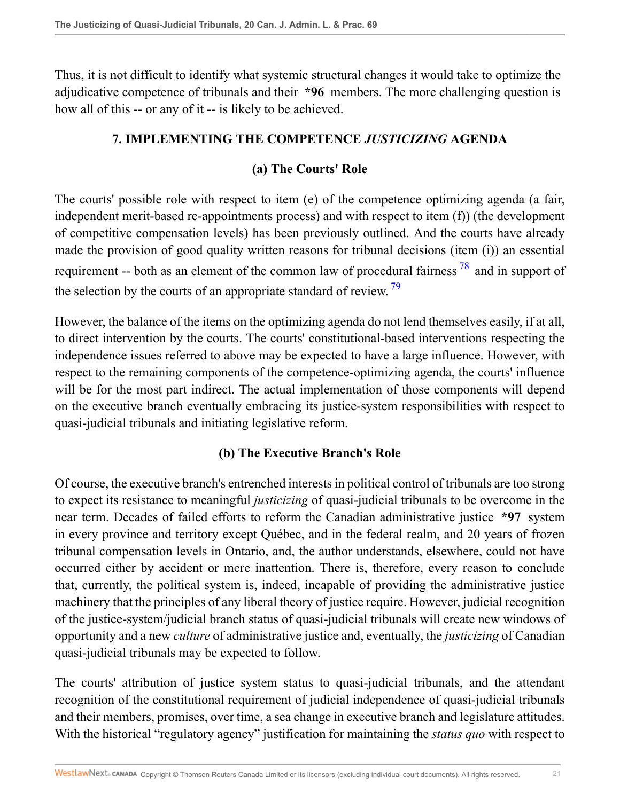Thus, it is not difficult to identify what systemic structural changes it would take to optimize the adjudicative competence of tribunals and their **\*96** members. The more challenging question is how all of this -- or any of it -- is likely to be achieved.

### **7. IMPLEMENTING THE COMPETENCE** *JUSTICIZING* **AGENDA**

### <span id="page-20-1"></span><span id="page-20-0"></span>**(a) The Courts' Role**

The courts' possible role with respect to item (e) of the competence optimizing agenda (a fair, independent merit-based re-appointments process) and with respect to item (f)) (the development of competitive compensation levels) has been previously outlined. And the courts have already made the provision of good quality written reasons for tribunal decisions (item (i)) an essential requirement -- both as an element of the common law of procedural fairness<sup>[78](#page-28-4)</sup> and in support of the selection by the courts of an appropriate standard of review.<sup>[79](#page-28-5)</sup>

However, the balance of the items on the optimizing agenda do not lend themselves easily, if at all, to direct intervention by the courts. The courts' constitutional-based interventions respecting the independence issues referred to above may be expected to have a large influence. However, with respect to the remaining components of the competence-optimizing agenda, the courts' influence will be for the most part indirect. The actual implementation of those components will depend on the executive branch eventually embracing its justice-system responsibilities with respect to quasi-judicial tribunals and initiating legislative reform.

### **(b) The Executive Branch's Role**

Of course, the executive branch's entrenched interests in political control of tribunals are too strong to expect its resistance to meaningful *justicizing* of quasi-judicial tribunals to be overcome in the near term. Decades of failed efforts to reform the Canadian administrative justice **\*97** system in every province and territory except Québec, and in the federal realm, and 20 years of frozen tribunal compensation levels in Ontario, and, the author understands, elsewhere, could not have occurred either by accident or mere inattention. There is, therefore, every reason to conclude that, currently, the political system is, indeed, incapable of providing the administrative justice machinery that the principles of any liberal theory of justice require. However, judicial recognition of the justice-system/judicial branch status of quasi-judicial tribunals will create new windows of opportunity and a new *culture* of administrative justice and, eventually, the *justicizing* of Canadian quasi-judicial tribunals may be expected to follow.

The courts' attribution of justice system status to quasi-judicial tribunals, and the attendant recognition of the constitutional requirement of judicial independence of quasi-judicial tribunals and their members, promises, over time, a sea change in executive branch and legislature attitudes. With the historical "regulatory agency" justification for maintaining the *status quo* with respect to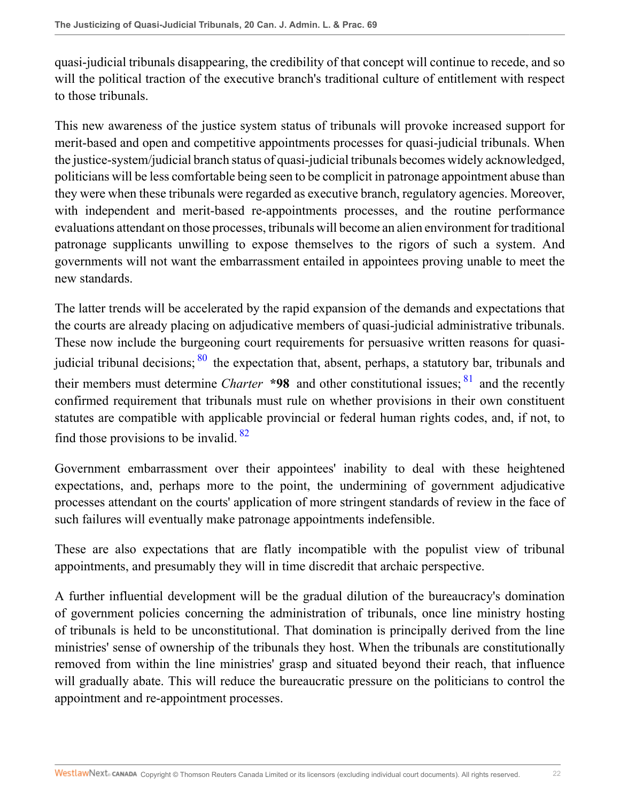quasi-judicial tribunals disappearing, the credibility of that concept will continue to recede, and so will the political traction of the executive branch's traditional culture of entitlement with respect to those tribunals.

This new awareness of the justice system status of tribunals will provoke increased support for merit-based and open and competitive appointments processes for quasi-judicial tribunals. When the justice-system/judicial branch status of quasi-judicial tribunals becomes widely acknowledged, politicians will be less comfortable being seen to be complicit in patronage appointment abuse than they were when these tribunals were regarded as executive branch, regulatory agencies. Moreover, with independent and merit-based re-appointments processes, and the routine performance evaluations attendant on those processes, tribunals will become an alien environment for traditional patronage supplicants unwilling to expose themselves to the rigors of such a system. And governments will not want the embarrassment entailed in appointees proving unable to meet the new standards.

<span id="page-21-1"></span><span id="page-21-0"></span>The latter trends will be accelerated by the rapid expansion of the demands and expectations that the courts are already placing on adjudicative members of quasi-judicial administrative tribunals. These now include the burgeoning court requirements for persuasive written reasons for quasijudicial tribunal decisions;  $\frac{80}{80}$  $\frac{80}{80}$  $\frac{80}{80}$  the expectation that, absent, perhaps, a statutory bar, tribunals and their members must determine *Charter* **\*98** and other constitutional issues; <sup>[81](#page-28-7)</sup> and the recently confirmed requirement that tribunals must rule on whether provisions in their own constituent statutes are compatible with applicable provincial or federal human rights codes, and, if not, to find those provisions to be invalid. [82](#page-28-8)

<span id="page-21-2"></span>Government embarrassment over their appointees' inability to deal with these heightened expectations, and, perhaps more to the point, the undermining of government adjudicative processes attendant on the courts' application of more stringent standards of review in the face of such failures will eventually make patronage appointments indefensible.

These are also expectations that are flatly incompatible with the populist view of tribunal appointments, and presumably they will in time discredit that archaic perspective.

A further influential development will be the gradual dilution of the bureaucracy's domination of government policies concerning the administration of tribunals, once line ministry hosting of tribunals is held to be unconstitutional. That domination is principally derived from the line ministries' sense of ownership of the tribunals they host. When the tribunals are constitutionally removed from within the line ministries' grasp and situated beyond their reach, that influence will gradually abate. This will reduce the bureaucratic pressure on the politicians to control the appointment and re-appointment processes.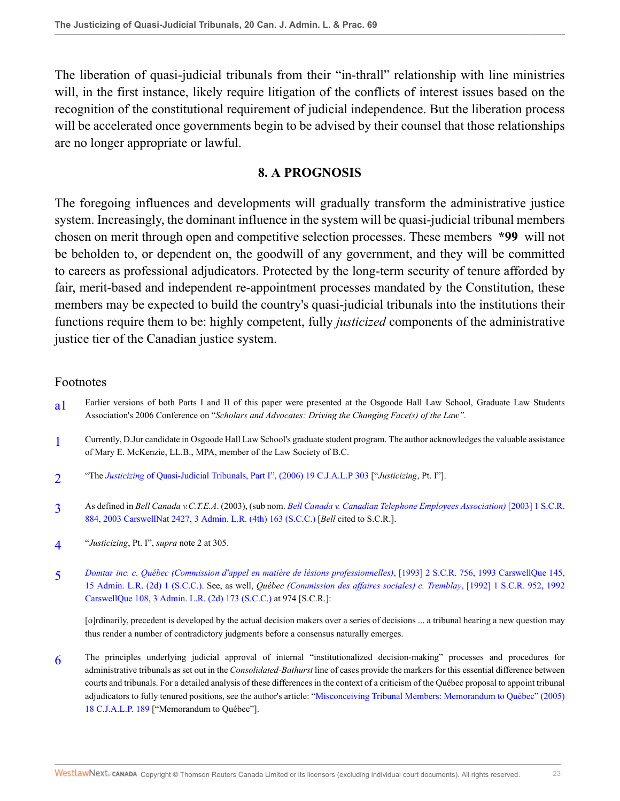The liberation of quasi-judicial tribunals from their "in-thrall" relationship with line ministries will, in the first instance, likely require litigation of the conflicts of interest issues based on the recognition of the constitutional requirement of judicial independence. But the liberation process will be accelerated once governments begin to be advised by their counsel that those relationships are no longer appropriate or lawful.

#### **8. A PROGNOSIS**

The foregoing influences and developments will gradually transform the administrative justice system. Increasingly, the dominant influence in the system will be quasi-judicial tribunal members chosen on merit through open and competitive selection processes. These members **\*99** will not be beholden to, or dependent on, the goodwill of any government, and they will be committed to careers as professional adjudicators. Protected by the long-term security of tenure afforded by fair, merit-based and independent re-appointment processes mandated by the Constitution, these members may be expected to build the country's quasi-judicial tribunals into the institutions their functions require them to be: highly competent, fully *justicized* components of the administrative justice tier of the Canadian justice system.

#### Footnotes

- <span id="page-22-0"></span>[a1](#page-0-0) Earlier versions of both Parts I and II of this paper were presented at the Osgoode Hall Law School, Graduate Law Students Association's 2006 Conference on "*Scholars and Advocates: Driving the Changing Face(s) of the Law".*
- <span id="page-22-1"></span>[1](#page-0-1) Currently, D.Jur candidate in Osgoode Hall Law School's graduate student program. The author acknowledges the valuable assistance of Mary E. McKenzie, LL.B., MPA, member of the Law Society of B.C.
- <span id="page-22-2"></span>[2](#page-0-2) "The *Justicizing* [of Quasi-Judicial Tribunals, Part I", \(2006\) 19 C.J.A.L.P 303](http://nextcanada.westlaw.com/Link/Document/FullText?findType=Y&serNum=0327806868&pubNum=135178&originatingDoc=I19de7711e36a11dbacd6b4db45fd6021&refType=LR&originationContext=document&vr=3.0&rs=cblt1.0&transitionType=DocumentItem&contextData=(sc.Search)) ["*Justicizing*, Pt. I"].
- <span id="page-22-3"></span>[3](#page-1-0) As defined in *Bell Canada v.C.T.E.A*. (2003), (sub nom. *[Bell Canada v. Canadian Telephone Employees Association\)](http://nextcanada.westlaw.com/Link/Document/FullText?findType=Y&serNum=2003060286&pubNum=5156&originatingDoc=I19de7711e36a11dbacd6b4db45fd6021&refType=IC&originationContext=document&vr=3.0&rs=cblt1.0&transitionType=DocumentItem&contextData=(sc.Search))* [2003] 1 S.C.R. [884, 2003 CarswellNat 2427, 3 Admin. L.R. \(4th\) 163 \(S.C.C.\)](http://nextcanada.westlaw.com/Link/Document/FullText?findType=Y&serNum=2003060286&pubNum=5156&originatingDoc=I19de7711e36a11dbacd6b4db45fd6021&refType=IC&originationContext=document&vr=3.0&rs=cblt1.0&transitionType=DocumentItem&contextData=(sc.Search)) [*Bell* cited to S.C.R.].
- <span id="page-22-4"></span>[4](#page-1-1) "*Justicizing*, Pt. I", *supra* note 2 at 305.
- <span id="page-22-5"></span>[5](#page-2-0) *[Domtar inc. c. Québec \(Commission d'appel en matière de lésions professionnelles\)](http://nextcanada.westlaw.com/Link/Document/FullText?findType=Y&serNum=1993385916&pubNum=5156&originatingDoc=I19de7711e36a11dbacd6b4db45fd6021&refType=IC&originationContext=document&vr=3.0&rs=cblt1.0&transitionType=DocumentItem&contextData=(sc.Search))*, [1993] 2 S.C.R. 756, 1993 CarswellQue 145, [15 Admin. L.R. \(2d\) 1 \(S.C.C.\)](http://nextcanada.westlaw.com/Link/Document/FullText?findType=Y&serNum=1993385916&pubNum=5156&originatingDoc=I19de7711e36a11dbacd6b4db45fd6021&refType=IC&originationContext=document&vr=3.0&rs=cblt1.0&transitionType=DocumentItem&contextData=(sc.Search)). See, as well, *Québec [\(Commission des affaires sociales\) c. Tremblay](http://nextcanada.westlaw.com/Link/Document/FullText?findType=Y&serNum=1992363247&pubNum=5156&originatingDoc=I19de7711e36a11dbacd6b4db45fd6021&refType=IC&originationContext=document&vr=3.0&rs=cblt1.0&transitionType=DocumentItem&contextData=(sc.Search))*, [1992] 1 S.C.R. 952, 1992 [CarswellQue 108, 3 Admin. L.R. \(2d\) 173 \(S.C.C.\)](http://nextcanada.westlaw.com/Link/Document/FullText?findType=Y&serNum=1992363247&pubNum=5156&originatingDoc=I19de7711e36a11dbacd6b4db45fd6021&refType=IC&originationContext=document&vr=3.0&rs=cblt1.0&transitionType=DocumentItem&contextData=(sc.Search)) at 974 [S.C.R.]:

[o]rdinarily, precedent is developed by the actual decision makers over a series of decisions ... a tribunal hearing a new question may thus render a number of contradictory judgments before a consensus naturally emerges.

<span id="page-22-6"></span>[6](#page-2-1) The principles underlying judicial approval of internal "institutionalized decision-making" processes and procedures for administrative tribunals as set out in the *Consolidated-Bathurst* line of cases provide the markers for this essential difference between courts and tribunals. For a detailed analysis of these differences in the context of a criticism of the Québec proposal to appoint tribunal adjudicators to fully tenured positions, see the author's article: "[Misconceiving Tribunal Members: Memorandum to Québec" \(2005\)](http://nextcanada.westlaw.com/Link/Document/FullText?findType=Y&serNum=0304858886&pubNum=135178&originatingDoc=I19de7711e36a11dbacd6b4db45fd6021&refType=LR&originationContext=document&vr=3.0&rs=cblt1.0&transitionType=DocumentItem&contextData=(sc.Search)) [18 C.J.A.L.P. 189](http://nextcanada.westlaw.com/Link/Document/FullText?findType=Y&serNum=0304858886&pubNum=135178&originatingDoc=I19de7711e36a11dbacd6b4db45fd6021&refType=LR&originationContext=document&vr=3.0&rs=cblt1.0&transitionType=DocumentItem&contextData=(sc.Search)) ["Memorandum to Québec"].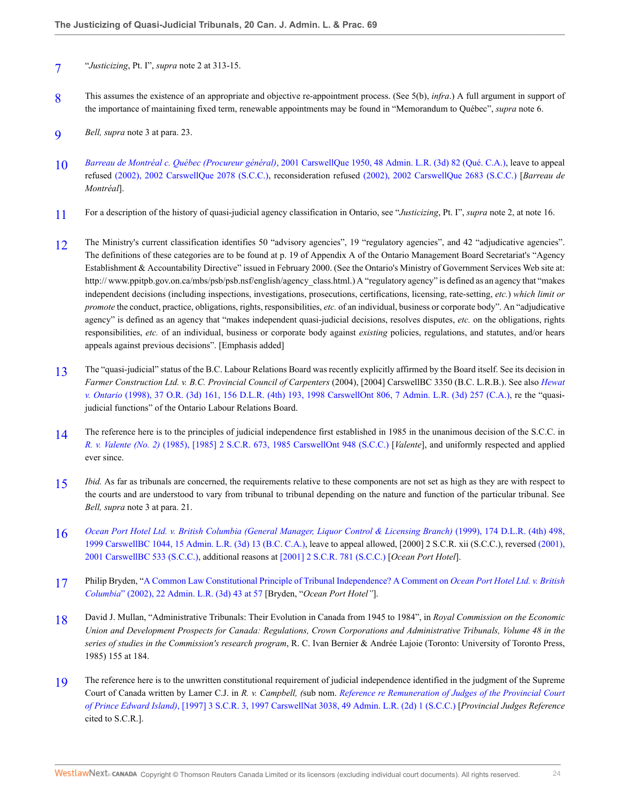- <span id="page-23-0"></span>[7](#page-2-2) "*Justicizing*, Pt. I", *supra* note 2 at 313-15.
- <span id="page-23-1"></span>[8](#page-2-3) This assumes the existence of an appropriate and objective re-appointment process. (See 5(b), *infra*.) A full argument in support of the importance of maintaining fixed term, renewable appointments may be found in "Memorandum to Québec", *supra* note 6.
- <span id="page-23-2"></span>[9](#page-3-0) *Bell, supra* note 3 at para. 23.
- <span id="page-23-3"></span>[10](#page-3-1) *Barreau de Montréal c. Québec (Procureur général)*[, 2001 CarswellQue 1950, 48 Admin. L.R. \(3d\) 82 \(Qué. C.A.\),](http://nextcanada.westlaw.com/Link/Document/FullText?findType=Y&serNum=2001458530&pubNum=5481&originatingDoc=I19de7711e36a11dbacd6b4db45fd6021&refType=IC&originationContext=document&vr=3.0&rs=cblt1.0&transitionType=DocumentItem&contextData=(sc.Search)) leave to appeal refused [\(2002\), 2002 CarswellQue 2078 \(S.C.C.\)](http://nextcanada.westlaw.com/Link/Document/FullText?findType=Y&serNum=2002514900&pubNum=5481&originatingDoc=I19de7711e36a11dbacd6b4db45fd6021&refType=IC&originationContext=document&vr=3.0&rs=cblt1.0&transitionType=DocumentItem&contextData=(sc.Search)), reconsideration refused [\(2002\), 2002 CarswellQue 2683 \(S.C.C.\)](http://nextcanada.westlaw.com/Link/Document/FullText?findType=Y&serNum=2002766895&pubNum=5481&originatingDoc=I19de7711e36a11dbacd6b4db45fd6021&refType=IC&originationContext=document&vr=3.0&rs=cblt1.0&transitionType=DocumentItem&contextData=(sc.Search)) [*Barreau de Montréal*].
- <span id="page-23-4"></span>[11](#page-3-2) For a description of the history of quasi-judicial agency classification in Ontario, see "*Justicizing*, Pt. I", *supra* note 2, at note 16.
- <span id="page-23-5"></span>[12](#page-3-3) The Ministry's current classification identifies 50 "advisory agencies", 19 "regulatory agencies", and 42 "adjudicative agencies". The definitions of these categories are to be found at p. 19 of Appendix A of the Ontario Management Board Secretariat's "Agency Establishment & Accountability Directive" issued in February 2000. (See the Ontario's Ministry of Government Services Web site at: http:// www.ppitpb.gov.on.ca/mbs/psb/psb.nsf/english/agency\_class.html.) A "regulatory agency" is defined as an agency that "makes independent decisions (including inspections, investigations, prosecutions, certifications, licensing, rate-setting, *etc.*) *which limit or promote* the conduct, practice, obligations, rights, responsibilities, *etc.* of an individual, business or corporate body". An "adjudicative agency" is defined as an agency that "makes independent quasi-judicial decisions, resolves disputes, *etc.* on the obligations, rights responsibilities, *etc.* of an individual, business or corporate body against *existing* policies, regulations, and statutes, and/or hears appeals against previous decisions". [Emphasis added]
- <span id="page-23-6"></span>[13](#page-4-0) The "quasi-judicial" status of the B.C. Labour Relations Board was recently explicitly affirmed by the Board itself. See its decision in *Farmer Construction Ltd. v. B.C. Provincial Council of Carpenters* (2004), [2004] CarswellBC 3350 (B.C. L.R.B.). See also *[Hewat](http://nextcanada.westlaw.com/Link/Document/FullText?findType=Y&serNum=1998454159&pubNum=5506&originatingDoc=I19de7711e36a11dbacd6b4db45fd6021&refType=IC&originationContext=document&vr=3.0&rs=cblt1.0&transitionType=DocumentItem&contextData=(sc.Search)) v. Ontario* [\(1998\), 37 O.R. \(3d\) 161, 156 D.L.R. \(4th\) 193, 1998 CarswellOnt 806, 7 Admin. L.R. \(3d\) 257 \(C.A.\),](http://nextcanada.westlaw.com/Link/Document/FullText?findType=Y&serNum=1998454159&pubNum=5506&originatingDoc=I19de7711e36a11dbacd6b4db45fd6021&refType=IC&originationContext=document&vr=3.0&rs=cblt1.0&transitionType=DocumentItem&contextData=(sc.Search)) re the "quasijudicial functions" of the Ontario Labour Relations Board.
- <span id="page-23-7"></span>[14](#page-5-0) The reference here is to the principles of judicial independence first established in 1985 in the unanimous decision of the S.C.C. in *R. v. Valente (No. 2)* [\(1985\), \[1985\] 2 S.C.R. 673, 1985 CarswellOnt 948 \(S.C.C.\)](http://nextcanada.westlaw.com/Link/Document/FullText?findType=Y&serNum=1985198311&pubNum=5156&originatingDoc=I19de7711e36a11dbacd6b4db45fd6021&refType=IC&originationContext=document&vr=3.0&rs=cblt1.0&transitionType=DocumentItem&contextData=(sc.Search)) [*Valente*], and uniformly respected and applied ever since.
- <span id="page-23-8"></span>*I*<sub>5</sub> *Ibid*. As far as tribunals are concerned, the requirements relative to these components are not set as high as they are with respect to the courts and are understood to vary from tribunal to tribunal depending on the nature and function of the particular tribunal. See *Bell, supra* note 3 at para. 21.
- <span id="page-23-9"></span>[16](#page-5-2) *[Ocean Port Hotel Ltd. v. British Columbia \(General Manager, Liquor Control & Licensing Branch\)](http://nextcanada.westlaw.com/Link/Document/FullText?findType=Y&serNum=1999487206&pubNum=3591&originatingDoc=I19de7711e36a11dbacd6b4db45fd6021&refType=IC&originationContext=document&vr=3.0&rs=cblt1.0&transitionType=DocumentItem&contextData=(sc.Search))* (1999), 174 D.L.R. (4th) 498, [1999 CarswellBC 1044, 15 Admin. L.R. \(3d\) 13 \(B.C. C.A.\)](http://nextcanada.westlaw.com/Link/Document/FullText?findType=Y&serNum=1999487206&pubNum=3591&originatingDoc=I19de7711e36a11dbacd6b4db45fd6021&refType=IC&originationContext=document&vr=3.0&rs=cblt1.0&transitionType=DocumentItem&contextData=(sc.Search)), leave to appeal allowed, [2000] 2 S.C.R. xii (S.C.C.), reversed [\(2001\),](http://nextcanada.westlaw.com/Link/Document/FullText?findType=Y&serNum=2001345222&pubNum=5472&originatingDoc=I19de7711e36a11dbacd6b4db45fd6021&refType=IC&originationContext=document&vr=3.0&rs=cblt1.0&transitionType=DocumentItem&contextData=(sc.Search)) [2001 CarswellBC 533 \(S.C.C.\),](http://nextcanada.westlaw.com/Link/Document/FullText?findType=Y&serNum=2001345222&pubNum=5472&originatingDoc=I19de7711e36a11dbacd6b4db45fd6021&refType=IC&originationContext=document&vr=3.0&rs=cblt1.0&transitionType=DocumentItem&contextData=(sc.Search)) additional reasons at [\[2001\] 2 S.C.R. 781 \(S.C.C.\)](http://nextcanada.westlaw.com/Link/Document/FullText?findType=Y&serNum=2001458743&pubNum=5156&originatingDoc=I19de7711e36a11dbacd6b4db45fd6021&refType=IC&originationContext=document&vr=3.0&rs=cblt1.0&transitionType=DocumentItem&contextData=(sc.Search)) [*Ocean Port Hotel*].
- <span id="page-23-10"></span>[17](#page-5-3) Philip Bryden, "[A Common Law Constitutional Principle of Tribunal Independence? A Comment on](http://nextcanada.westlaw.com/Link/Document/FullText?findType=Y&serNum=0280478657&pubNum=5490&originatingDoc=I19de7711e36a11dbacd6b4db45fd6021&refType=LR&fi=co_pp_sp_5490_57&originationContext=document&vr=3.0&rs=cblt1.0&transitionType=DocumentItem&contextData=(sc.Search)#co_pp_sp_5490_57) *Ocean Port Hotel Ltd. v. British Columbia*[" \(2002\), 22 Admin. L.R. \(3d\) 43 at 57](http://nextcanada.westlaw.com/Link/Document/FullText?findType=Y&serNum=0280478657&pubNum=5490&originatingDoc=I19de7711e36a11dbacd6b4db45fd6021&refType=LR&fi=co_pp_sp_5490_57&originationContext=document&vr=3.0&rs=cblt1.0&transitionType=DocumentItem&contextData=(sc.Search)#co_pp_sp_5490_57) [Bryden, "*Ocean Port Hotel"*].
- <span id="page-23-11"></span>[18](#page-5-4) David J. Mullan, "Administrative Tribunals: Their Evolution in Canada from 1945 to 1984", in *Royal Commission on the Economic Union and Development Prospects for Canada: Regulations, Crown Corporations and Administrative Tribunals, Volume 48 in the series of studies in the Commission's research program*, R. C. Ivan Bernier & Andrée Lajoie (Toronto: University of Toronto Press, 1985) 155 at 184.
- <span id="page-23-12"></span>[19](#page-7-0) The reference here is to the unwritten constitutional requirement of judicial independence identified in the judgment of the Supreme Court of Canada written by Lamer C.J. in *R. v. Campbell, (*sub nom. *[Reference re Remuneration of Judges of the Provincial Court](http://nextcanada.westlaw.com/Link/Document/FullText?findType=Y&serNum=1997417378&pubNum=5156&originatingDoc=I19de7711e36a11dbacd6b4db45fd6021&refType=IC&originationContext=document&vr=3.0&rs=cblt1.0&transitionType=DocumentItem&contextData=(sc.Search)) of Prince Edward Island)*[, \[1997\] 3 S.C.R. 3, 1997 CarswellNat 3038, 49 Admin. L.R. \(2d\) 1 \(S.C.C.\)](http://nextcanada.westlaw.com/Link/Document/FullText?findType=Y&serNum=1997417378&pubNum=5156&originatingDoc=I19de7711e36a11dbacd6b4db45fd6021&refType=IC&originationContext=document&vr=3.0&rs=cblt1.0&transitionType=DocumentItem&contextData=(sc.Search)) [*Provincial Judges Reference* cited to S.C.R.].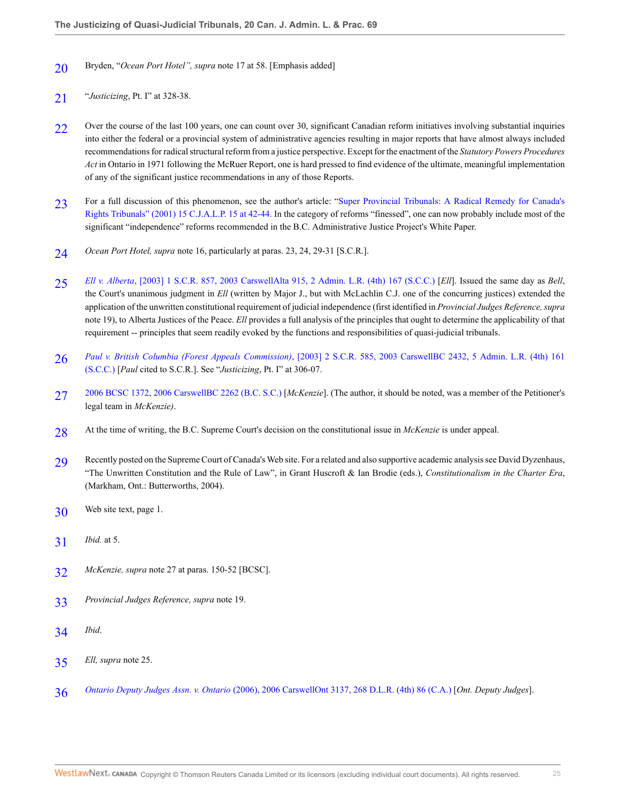- <span id="page-24-0"></span>[20](#page-7-1) Bryden, "*Ocean Port Hotel", supra* note 17 at 58. [Emphasis added]
- <span id="page-24-1"></span>[21](#page-7-2) "*Justicizing*, Pt. I" at 328-38.
- <span id="page-24-2"></span>[22](#page-8-0) Over the course of the last 100 years, one can count over 30, significant Canadian reform initiatives involving substantial inquiries into either the federal or a provincial system of administrative agencies resulting in major reports that have almost always included recommendations for radical structural reform from a justice perspective. Except for the enactment of the *Statutory Powers Procedures Act* in Ontario in 1971 following the McRuer Report, one is hard pressed to find evidence of the ultimate, meaningful implementation of any of the significant justice recommendations in any of those Reports.
- <span id="page-24-3"></span>[23](#page-8-1) For a full discussion of this phenomenon, see the author's article: ["Super Provincial Tribunals: A Radical Remedy for Canada's](http://nextcanada.westlaw.com/Link/Document/FullText?findType=Y&serNum=0291313329&pubNum=135178&originatingDoc=I19de7711e36a11dbacd6b4db45fd6021&refType=LR&fi=co_pp_sp_135178_42&originationContext=document&vr=3.0&rs=cblt1.0&transitionType=DocumentItem&contextData=(sc.Search)#co_pp_sp_135178_42) [Rights Tribunals" \(2001\) 15 C.J.A.L.P. 15 at 42-44.](http://nextcanada.westlaw.com/Link/Document/FullText?findType=Y&serNum=0291313329&pubNum=135178&originatingDoc=I19de7711e36a11dbacd6b4db45fd6021&refType=LR&fi=co_pp_sp_135178_42&originationContext=document&vr=3.0&rs=cblt1.0&transitionType=DocumentItem&contextData=(sc.Search)#co_pp_sp_135178_42) In the category of reforms "finessed", one can now probably include most of the significant "independence" reforms recommended in the B.C. Administrative Justice Project's White Paper.
- <span id="page-24-4"></span>[24](#page-8-2) *Ocean Port Hotel, supra* note 16, particularly at paras. 23, 24, 29-31 [S.C.R.].
- <span id="page-24-5"></span>[25](#page-8-3) *Ell v. Alberta*[, \[2003\] 1 S.C.R. 857, 2003 CarswellAlta 915, 2 Admin. L.R. \(4th\) 167 \(S.C.C.\)](http://nextcanada.westlaw.com/Link/Document/FullText?findType=Y&serNum=2003060287&pubNum=5156&originatingDoc=I19de7711e36a11dbacd6b4db45fd6021&refType=IC&originationContext=document&vr=3.0&rs=cblt1.0&transitionType=DocumentItem&contextData=(sc.Search)) [*Ell*]. Issued the same day as *Bell*, the Court's unanimous judgment in *Ell* (written by Major J., but with McLachlin C.J. one of the concurring justices) extended the application of the unwritten constitutional requirement of judicial independence (first identified in *Provincial Judges Reference, supra* note 19), to Alberta Justices of the Peace. *Ell* provides a full analysis of the principles that ought to determine the applicability of that requirement -- principles that seem readily evoked by the functions and responsibilities of quasi-judicial tribunals.
- <span id="page-24-6"></span>[26](#page-8-4) *Paul v. British Columbia (Forest Appeals Commission)*[, \[2003\] 2 S.C.R. 585, 2003 CarswellBC 2432, 5 Admin. L.R. \(4th\) 161](http://nextcanada.westlaw.com/Link/Document/FullText?findType=Y&serNum=2003652347&pubNum=5156&originatingDoc=I19de7711e36a11dbacd6b4db45fd6021&refType=IC&originationContext=document&vr=3.0&rs=cblt1.0&transitionType=DocumentItem&contextData=(sc.Search)) [\(S.C.C.\)](http://nextcanada.westlaw.com/Link/Document/FullText?findType=Y&serNum=2003652347&pubNum=5156&originatingDoc=I19de7711e36a11dbacd6b4db45fd6021&refType=IC&originationContext=document&vr=3.0&rs=cblt1.0&transitionType=DocumentItem&contextData=(sc.Search)) [*Paul* cited to S.C.R.]. See "*Justicizing*, Pt. I" at 306-07.
- <span id="page-24-7"></span>[27](#page-8-5) [2006 BCSC 1372, 2006 CarswellBC 2262 \(B.C. S.C.\)](http://nextcanada.westlaw.com/Link/Document/FullText?findType=Y&serNum=2010303189&pubNum=6459&originatingDoc=I19de7711e36a11dbacd6b4db45fd6021&refType=IC&originationContext=document&vr=3.0&rs=cblt1.0&transitionType=DocumentItem&contextData=(sc.Search)) [*McKenzie*]. (The author, it should be noted, was a member of the Petitioner's legal team in *McKenzie)*.
- <span id="page-24-8"></span>[28](#page-8-6) At the time of writing, the B.C. Supreme Court's decision on the constitutional issue in *McKenzie* is under appeal.
- <span id="page-24-9"></span>[29](#page-8-7) Recently posted on the Supreme Court of Canada's Web site. For a related and also supportive academic analysis see David Dyzenhaus, "The Unwritten Constitution and the Rule of Law", in Grant Huscroft & Ian Brodie (eds.), *Constitutionalism in the Charter Era*, (Markham, Ont.: Butterworths, 2004).
- <span id="page-24-10"></span>[30](#page-8-8) Web site text, page 1.
- <span id="page-24-11"></span>[31](#page-8-9) *Ibid.* at 5.
- <span id="page-24-12"></span>[32](#page-8-10) *McKenzie, supra* note 27 at paras. 150-52 [BCSC].
- <span id="page-24-13"></span>[33](#page-9-0) *Provincial Judges Reference, supra* note 19.
- <span id="page-24-14"></span>[34](#page-9-1) *Ibid*.
- <span id="page-24-15"></span>[35](#page-9-2) *Ell, supra* note 25.
- <span id="page-24-16"></span>[36](#page-9-3) *Ontario Deputy Judges Assn. v. Ontario* [\(2006\), 2006 CarswellOnt 3137, 268 D.L.R. \(4th\) 86 \(C.A.\)](http://nextcanada.westlaw.com/Link/Document/FullText?findType=Y&serNum=2009251721&pubNum=5476&originatingDoc=I19de7711e36a11dbacd6b4db45fd6021&refType=IC&originationContext=document&vr=3.0&rs=cblt1.0&transitionType=DocumentItem&contextData=(sc.Search)) [*Ont. Deputy Judges*].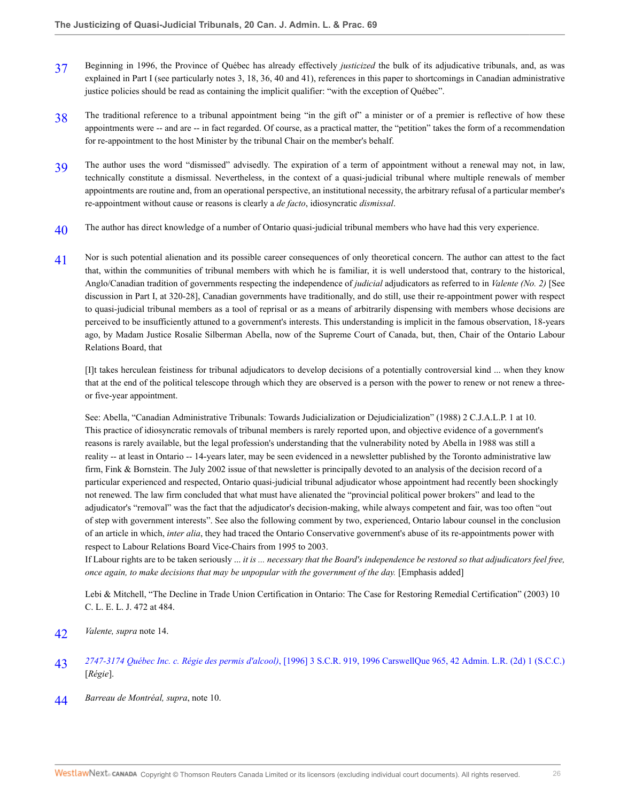- <span id="page-25-0"></span>[37](#page-9-4) Beginning in 1996, the Province of Québec has already effectively *justicized* the bulk of its adjudicative tribunals, and, as was explained in Part I (see particularly notes 3, 18, 36, 40 and 41), references in this paper to shortcomings in Canadian administrative justice policies should be read as containing the implicit qualifier: "with the exception of Québec".
- <span id="page-25-1"></span>[38](#page-9-5) The traditional reference to a tribunal appointment being "in the gift of" a minister or of a premier is reflective of how these appointments were -- and are -- in fact regarded. Of course, as a practical matter, the "petition" takes the form of a recommendation for re-appointment to the host Minister by the tribunal Chair on the member's behalf.
- <span id="page-25-2"></span>[39](#page-9-6) The author uses the word "dismissed" advisedly. The expiration of a term of appointment without a renewal may not, in law, technically constitute a dismissal. Nevertheless, in the context of a quasi-judicial tribunal where multiple renewals of member appointments are routine and, from an operational perspective, an institutional necessity, the arbitrary refusal of a particular member's re-appointment without cause or reasons is clearly a *de facto*, idiosyncratic *dismissal*.
- <span id="page-25-3"></span>[40](#page-9-7) The author has direct knowledge of a number of Ontario quasi-judicial tribunal members who have had this very experience.
- <span id="page-25-4"></span>[41](#page-10-0) Nor is such potential alienation and its possible career consequences of only theoretical concern. The author can attest to the fact that, within the communities of tribunal members with which he is familiar, it is well understood that, contrary to the historical, Anglo/Canadian tradition of governments respecting the independence of *judicial* adjudicators as referred to in *Valente (No. 2)* [See discussion in Part I, at 320-28], Canadian governments have traditionally, and do still, use their re-appointment power with respect to quasi-judicial tribunal members as a tool of reprisal or as a means of arbitrarily dispensing with members whose decisions are perceived to be insufficiently attuned to a government's interests. This understanding is implicit in the famous observation, 18-years ago, by Madam Justice Rosalie Silberman Abella, now of the Supreme Court of Canada, but, then, Chair of the Ontario Labour Relations Board, that

[I]t takes herculean feistiness for tribunal adjudicators to develop decisions of a potentially controversial kind ... when they know that at the end of the political telescope through which they are observed is a person with the power to renew or not renew a threeor five-year appointment.

See: Abella, "Canadian Administrative Tribunals: Towards Judicialization or Dejudicialization" (1988) 2 C.J.A.L.P. 1 at 10. This practice of idiosyncratic removals of tribunal members is rarely reported upon, and objective evidence of a government's reasons is rarely available, but the legal profession's understanding that the vulnerability noted by Abella in 1988 was still a reality -- at least in Ontario -- 14-years later, may be seen evidenced in a newsletter published by the Toronto administrative law firm, Fink & Bornstein. The July 2002 issue of that newsletter is principally devoted to an analysis of the decision record of a particular experienced and respected, Ontario quasi-judicial tribunal adjudicator whose appointment had recently been shockingly not renewed. The law firm concluded that what must have alienated the "provincial political power brokers" and lead to the adjudicator's "removal" was the fact that the adjudicator's decision-making, while always competent and fair, was too often "out of step with government interests". See also the following comment by two, experienced, Ontario labour counsel in the conclusion of an article in which, *inter alia*, they had traced the Ontario Conservative government's abuse of its re-appointments power with respect to Labour Relations Board Vice-Chairs from 1995 to 2003.

If Labour rights are to be taken seriously ... *it is ... necessary that the Board's independence be restored so that adjudicators feel free, once again, to make decisions that may be unpopular with the government of the day.* [Emphasis added]

Lebi & Mitchell, "The Decline in Trade Union Certification in Ontario: The Case for Restoring Remedial Certification" (2003) 10 C. L. E. L. J. 472 at 484.

- <span id="page-25-5"></span>[42](#page-10-1) *Valente, supra* note 14.
- <span id="page-25-6"></span>[43](#page-10-2) *2747-3174 Québec Inc. c. Régie des permis d'alcool)*[, \[1996\] 3 S.C.R. 919, 1996 CarswellQue 965, 42 Admin. L.R. \(2d\) 1 \(S.C.C.\)](http://nextcanada.westlaw.com/Link/Document/FullText?findType=Y&serNum=1996437594&pubNum=5156&originatingDoc=I19de7711e36a11dbacd6b4db45fd6021&refType=IC&originationContext=document&vr=3.0&rs=cblt1.0&transitionType=DocumentItem&contextData=(sc.Search)) [*Régie*].
- <span id="page-25-7"></span>[44](#page-10-3) *Barreau de Montréal, supra*, note 10.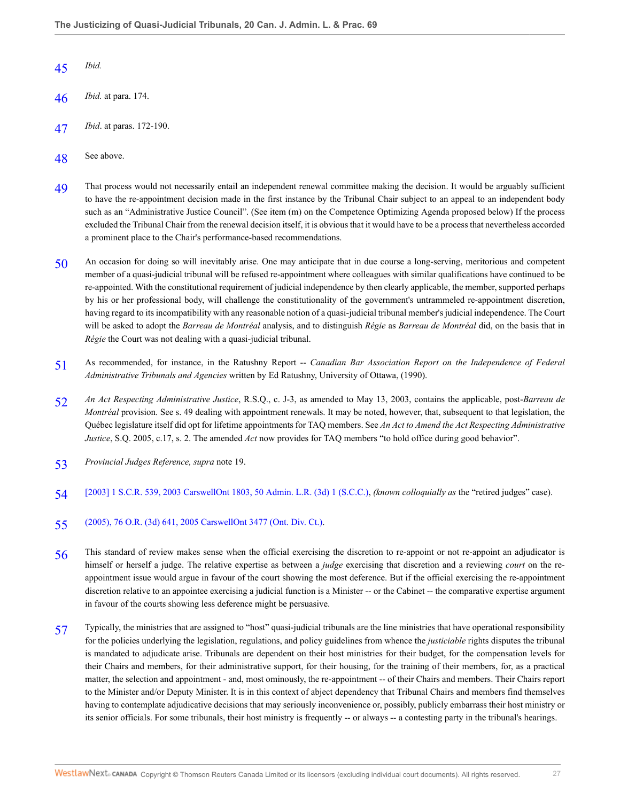- <span id="page-26-0"></span>[45](#page-10-4) *Ibid.*
- <span id="page-26-1"></span>[46](#page-10-5) *Ibid.* at para. 174.
- <span id="page-26-2"></span>[47](#page-10-6) *Ibid*. at paras. 172-190.
- <span id="page-26-3"></span>[48](#page-11-0) See above.
- <span id="page-26-4"></span>[49](#page-11-1) That process would not necessarily entail an independent renewal committee making the decision. It would be arguably sufficient to have the re-appointment decision made in the first instance by the Tribunal Chair subject to an appeal to an independent body such as an "Administrative Justice Council". (See item (m) on the Competence Optimizing Agenda proposed below) If the process excluded the Tribunal Chair from the renewal decision itself, it is obvious that it would have to be a process that nevertheless accorded a prominent place to the Chair's performance-based recommendations.
- <span id="page-26-5"></span>[50](#page-11-2) An occasion for doing so will inevitably arise. One may anticipate that in due course a long-serving, meritorious and competent member of a quasi-judicial tribunal will be refused re-appointment where colleagues with similar qualifications have continued to be re-appointed. With the constitutional requirement of judicial independence by then clearly applicable, the member, supported perhaps by his or her professional body, will challenge the constitutionality of the government's untrammeled re-appointment discretion, having regard to its incompatibility with any reasonable notion of a quasi-judicial tribunal member's judicial independence. The Court will be asked to adopt the *Barreau de Montréal* analysis, and to distinguish *Régie* as *Barreau de Montréal* did, on the basis that in *Régie* the Court was not dealing with a quasi-judicial tribunal.
- <span id="page-26-6"></span>[51](#page-11-3) As recommended, for instance, in the Ratushny Report -- *Canadian Bar Association Report on the Independence of Federal Administrative Tribunals and Agencies* written by Ed Ratushny, University of Ottawa, (1990).
- <span id="page-26-7"></span>[52](#page-11-4) *An Act Respecting Administrative Justice*, R.S.Q., c. J-3, as amended to May 13, 2003, contains the applicable, post-*Barreau de Montréal* provision. See s. 49 dealing with appointment renewals. It may be noted, however, that, subsequent to that legislation, the Québec legislature itself did opt for lifetime appointments for TAQ members. See *An Act to Amend the Act Respecting Administrative Justice*, S.Q. 2005, c.17, s. 2. The amended *Act* now provides for TAQ members "to hold office during good behavior".
- <span id="page-26-8"></span>[53](#page-11-5) *Provincial Judges Reference, supra* note 19.
- <span id="page-26-9"></span>[54](#page-11-6) [\[2003\] 1 S.C.R. 539, 2003 CarswellOnt 1803, 50 Admin. L.R. \(3d\) 1 \(S.C.C.\)](http://nextcanada.westlaw.com/Link/Document/FullText?findType=Y&serNum=2003055880&pubNum=5156&originatingDoc=I19de7711e36a11dbacd6b4db45fd6021&refType=IC&originationContext=document&vr=3.0&rs=cblt1.0&transitionType=DocumentItem&contextData=(sc.Search)), *(known colloquially as* the "retired judges" case).
- <span id="page-26-10"></span>[55](#page-12-0) [\(2005\), 76 O.R. \(3d\) 641, 2005 CarswellOnt 3477 \(Ont. Div. Ct.\).](http://nextcanada.westlaw.com/Link/Document/FullText?findType=Y&serNum=2007047618&pubNum=5506&originatingDoc=I19de7711e36a11dbacd6b4db45fd6021&refType=IC&originationContext=document&vr=3.0&rs=cblt1.0&transitionType=DocumentItem&contextData=(sc.Search))
- <span id="page-26-11"></span>[56](#page-12-1) This standard of review makes sense when the official exercising the discretion to re-appoint or not re-appoint an adjudicator is himself or herself a judge. The relative expertise as between a *judge* exercising that discretion and a reviewing *court* on the reappointment issue would argue in favour of the court showing the most deference. But if the official exercising the re-appointment discretion relative to an appointee exercising a judicial function is a Minister -- or the Cabinet -- the comparative expertise argument in favour of the courts showing less deference might be persuasive.
- <span id="page-26-12"></span>[57](#page-12-2) Typically, the ministries that are assigned to "host" quasi-judicial tribunals are the line ministries that have operational responsibility for the policies underlying the legislation, regulations, and policy guidelines from whence the *justiciable* rights disputes the tribunal is mandated to adjudicate arise. Tribunals are dependent on their host ministries for their budget, for the compensation levels for their Chairs and members, for their administrative support, for their housing, for the training of their members, for, as a practical matter, the selection and appointment - and, most ominously, the re-appointment -- of their Chairs and members. Their Chairs report to the Minister and/or Deputy Minister. It is in this context of abject dependency that Tribunal Chairs and members find themselves having to contemplate adjudicative decisions that may seriously inconvenience or, possibly, publicly embarrass their host ministry or its senior officials. For some tribunals, their host ministry is frequently -- or always -- a contesting party in the tribunal's hearings.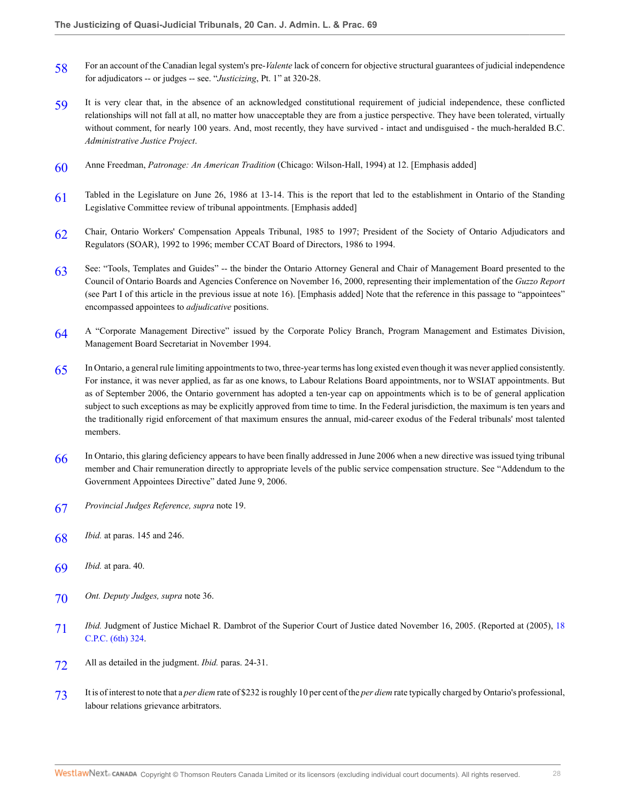- <span id="page-27-0"></span>[58](#page-12-3) For an account of the Canadian legal system's pre-*Valente* lack of concern for objective structural guarantees of judicial independence for adjudicators -- or judges -- see. "*Justicizing*, Pt. 1" at 320-28.
- <span id="page-27-1"></span>[59](#page-12-4) It is very clear that, in the absence of an acknowledged constitutional requirement of judicial independence, these conflicted relationships will not fall at all, no matter how unacceptable they are from a justice perspective. They have been tolerated, virtually without comment, for nearly 100 years. And, most recently, they have survived - intact and undisguised - the much-heralded B.C. *Administrative Justice Project*.
- <span id="page-27-2"></span>[60](#page-13-0) Anne Freedman, *Patronage: An American Tradition* (Chicago: Wilson-Hall, 1994) at 12. [Emphasis added]
- <span id="page-27-3"></span>[61](#page-13-1) Tabled in the Legislature on June 26, 1986 at 13-14. This is the report that led to the establishment in Ontario of the Standing Legislative Committee review of tribunal appointments. [Emphasis added]
- <span id="page-27-4"></span>[62](#page-14-0) Chair, Ontario Workers' Compensation Appeals Tribunal, 1985 to 1997; President of the Society of Ontario Adjudicators and Regulators (SOAR), 1992 to 1996; member CCAT Board of Directors, 1986 to 1994.
- <span id="page-27-5"></span>[63](#page-14-1) See: "Tools, Templates and Guides" -- the binder the Ontario Attorney General and Chair of Management Board presented to the Council of Ontario Boards and Agencies Conference on November 16, 2000, representing their implementation of the *Guzzo Report* (see Part I of this article in the previous issue at note 16). [Emphasis added] Note that the reference in this passage to "appointees" encompassed appointees to *adjudicative* positions.
- <span id="page-27-6"></span>[64](#page-14-2) A "Corporate Management Directive" issued by the Corporate Policy Branch, Program Management and Estimates Division, Management Board Secretariat in November 1994.
- <span id="page-27-7"></span>[65](#page-15-0) In Ontario, a general rule limiting appointments to two, three-year terms has long existed even though it was never applied consistently. For instance, it was never applied, as far as one knows, to Labour Relations Board appointments, nor to WSIAT appointments. But as of September 2006, the Ontario government has adopted a ten-year cap on appointments which is to be of general application subject to such exceptions as may be explicitly approved from time to time. In the Federal jurisdiction, the maximum is ten years and the traditionally rigid enforcement of that maximum ensures the annual, mid-career exodus of the Federal tribunals' most talented members.
- <span id="page-27-8"></span>[66](#page-15-1) In Ontario, this glaring deficiency appears to have been finally addressed in June 2006 when a new directive was issued tying tribunal member and Chair remuneration directly to appropriate levels of the public service compensation structure. See "Addendum to the Government Appointees Directive" dated June 9, 2006.
- <span id="page-27-9"></span>[67](#page-15-2) *Provincial Judges Reference, supra* note 19.
- <span id="page-27-10"></span>[68](#page-15-3) *Ibid.* at paras. 145 and 246.
- <span id="page-27-11"></span>[69](#page-15-4) *Ibid.* at para. 40.
- <span id="page-27-12"></span>[70](#page-16-0) *Ont. Deputy Judges, supra* note 36.
- <span id="page-27-13"></span>[71](#page-16-1) *Ibid.* Judgment of Justice Michael R. Dambrot of the Superior Court of Justice dated November 16, 2005. (Reported at (2005), [18](http://nextcanada.westlaw.com/Link/Document/FullText?findType=Y&serNum=2007697272&pubNum=7170&originatingDoc=I19de7711e36a11dbacd6b4db45fd6021&refType=IR&originationContext=document&vr=3.0&rs=cblt1.0&transitionType=DocumentItem&contextData=(sc.Search)) [C.P.C. \(6th\) 324](http://nextcanada.westlaw.com/Link/Document/FullText?findType=Y&serNum=2007697272&pubNum=7170&originatingDoc=I19de7711e36a11dbacd6b4db45fd6021&refType=IR&originationContext=document&vr=3.0&rs=cblt1.0&transitionType=DocumentItem&contextData=(sc.Search)).
- <span id="page-27-14"></span>[72](#page-16-2) All as detailed in the judgment. *Ibid.* paras. 24-31.
- <span id="page-27-15"></span>[73](#page-16-3) It is of interest to note that a *per diem* rate of \$232 is roughly 10 per cent of the *per diem* rate typically charged by Ontario's professional, labour relations grievance arbitrators.